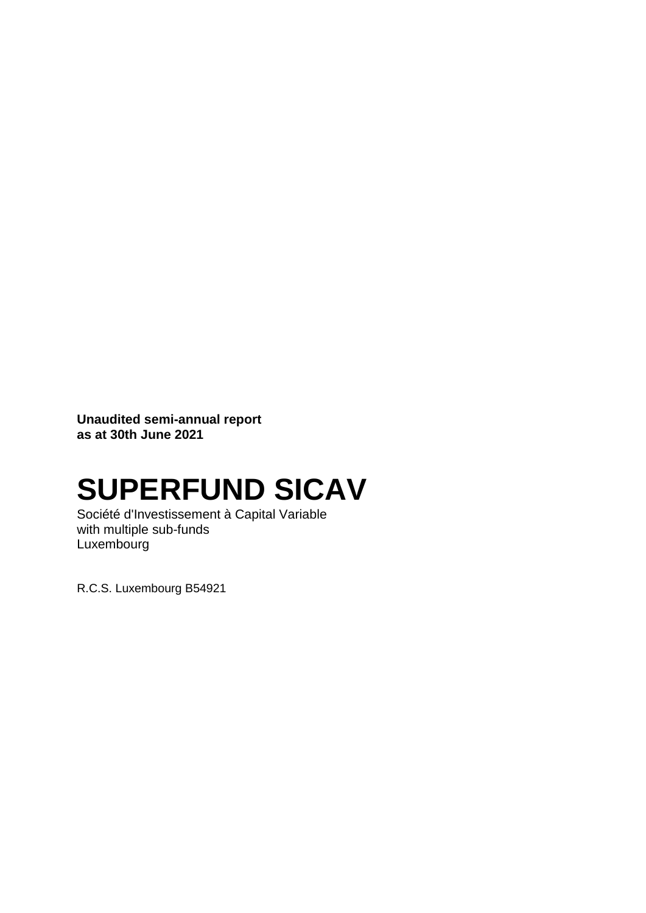**Unaudited semi-annual report as at 30th June 2021**

# **SUPERFUND SICAV**

Société d'Investissement à Capital Variable with multiple sub-funds Luxembourg

R.C.S. Luxembourg B54921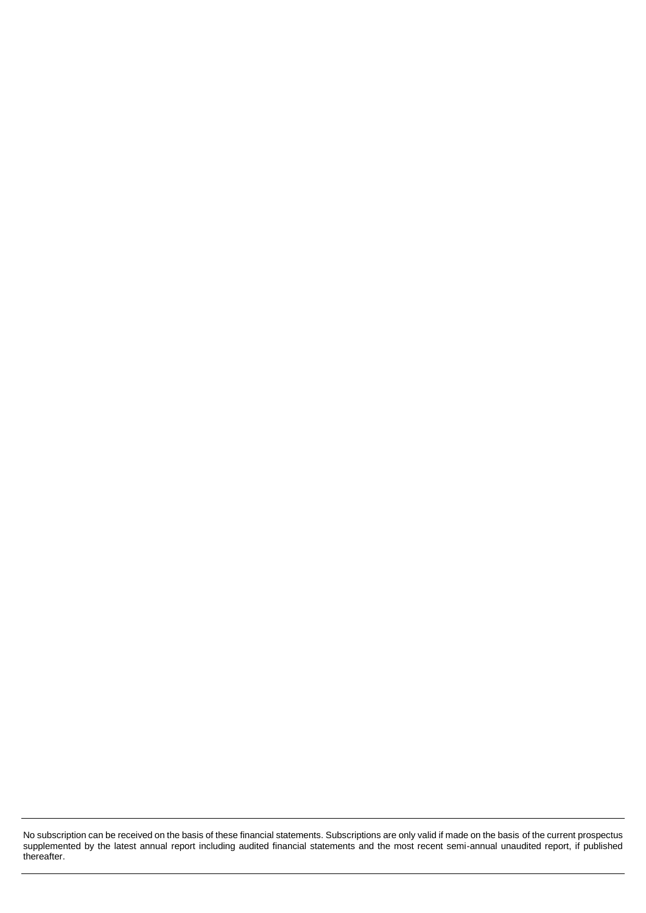No subscription can be received on the basis of these financial statements. Subscriptions are only valid if made on the basis of the current prospectus supplemented by the latest annual report including audited financial statements and the most recent semi-annual unaudited report, if published thereafter.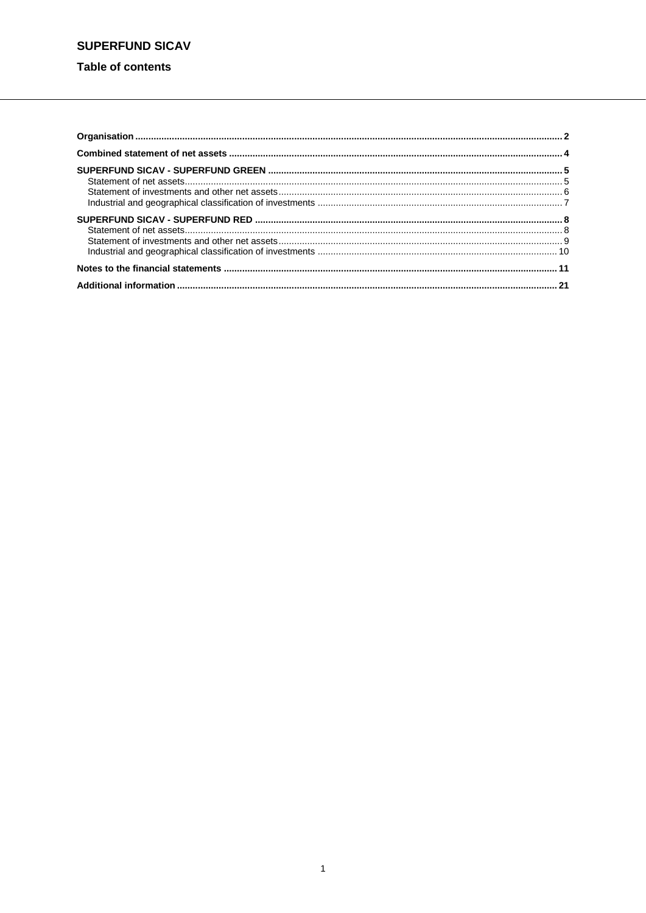### Table of contents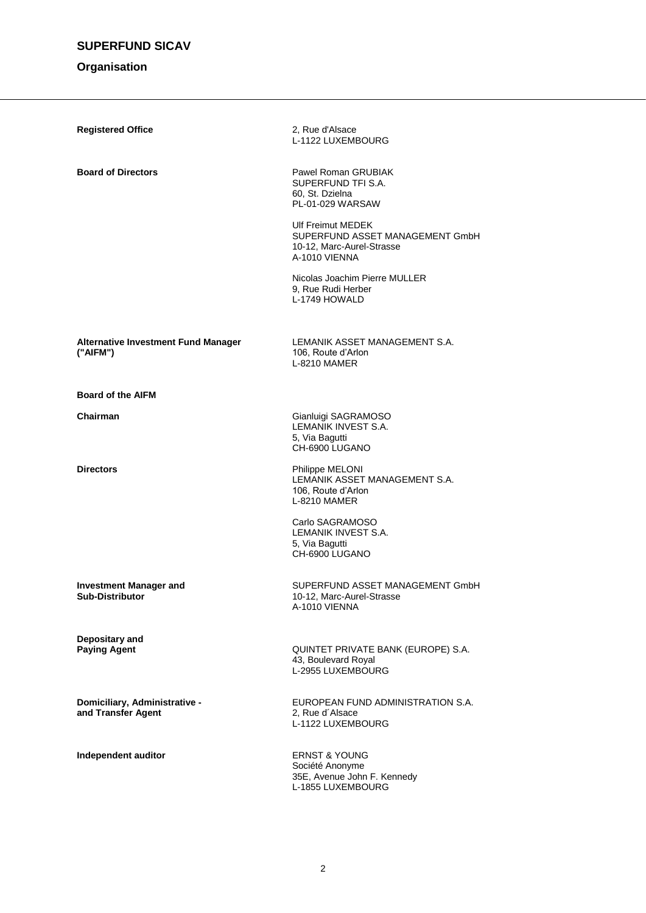### **Organisation**

| <b>Registered Office</b>                                | 2, Rue d'Alsace<br>L-1122 LUXEMBOURG                                                               |
|---------------------------------------------------------|----------------------------------------------------------------------------------------------------|
| <b>Board of Directors</b>                               | Pawel Roman GRUBIAK<br>SUPERFUND TFI S.A.<br>60, St. Dzielna<br>PL-01-029 WARSAW                   |
|                                                         | Ulf Freimut MEDEK<br>SUPERFUND ASSET MANAGEMENT GmbH<br>10-12, Marc-Aurel-Strasse<br>A-1010 VIENNA |
|                                                         | Nicolas Joachim Pierre MULLER<br>9, Rue Rudi Herber<br>L-1749 HOWALD                               |
| <b>Alternative Investment Fund Manager</b><br>("AIFM")  | LEMANIK ASSET MANAGEMENT S.A.<br>106, Route d'Arlon<br>L-8210 MAMER                                |
| <b>Board of the AIFM</b>                                |                                                                                                    |
| Chairman                                                | Gianluigi SAGRAMOSO<br>LEMANIK INVEST S.A.<br>5, Via Bagutti<br>CH-6900 LUGANO                     |
| <b>Directors</b>                                        | Philippe MELONI<br>LEMANIK ASSET MANAGEMENT S.A.<br>106, Route d'Arlon<br>L-8210 MAMER             |
|                                                         | Carlo SAGRAMOSO<br>LEMANIK INVEST S.A.<br>5, Via Bagutti<br>CH-6900 LUGANO                         |
| <b>Investment Manager and</b><br><b>Sub-Distributor</b> | SUPERFUND ASSET MANAGEMENT GmbH<br>10-12, Marc-Aurel-Strasse<br>A-1010 VIENNA                      |
| Depositary and<br><b>Paying Agent</b>                   | QUINTET PRIVATE BANK (EUROPE) S.A.<br>43, Boulevard Royal<br>L-2955 LUXEMBOURG                     |
| Domiciliary, Administrative -<br>and Transfer Agent     | EUROPEAN FUND ADMINISTRATION S.A.<br>2, Rue d'Alsace<br>L-1122 LUXEMBOURG                          |
| Independent auditor                                     | <b>ERNST &amp; YOUNG</b><br>Société Anonyme<br>35E, Avenue John F. Kennedy<br>L-1855 LUXEMBOURG    |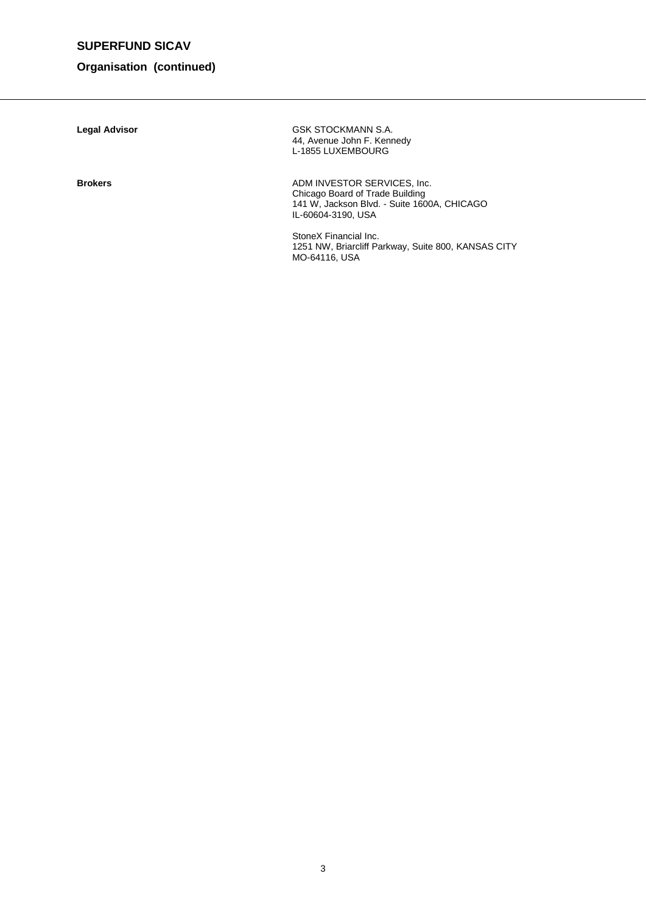### **Organisation (continued)**

| <b>Legal Advisor</b> | GSK STOCKMANN S.A.<br>44, Avenue John F. Kennedy<br>L-1855 LUXEMBOURG                                                               |
|----------------------|-------------------------------------------------------------------------------------------------------------------------------------|
| <b>Brokers</b>       | ADM INVESTOR SERVICES, Inc.<br>Chicago Board of Trade Building<br>141 W, Jackson Blvd. - Suite 1600A, CHICAGO<br>IL-60604-3190. USA |
|                      | StoneX Financial Inc.<br>1251 NW, Briarcliff Parkway, Suite 800, KANSAS CITY<br>MO-64116, USA                                       |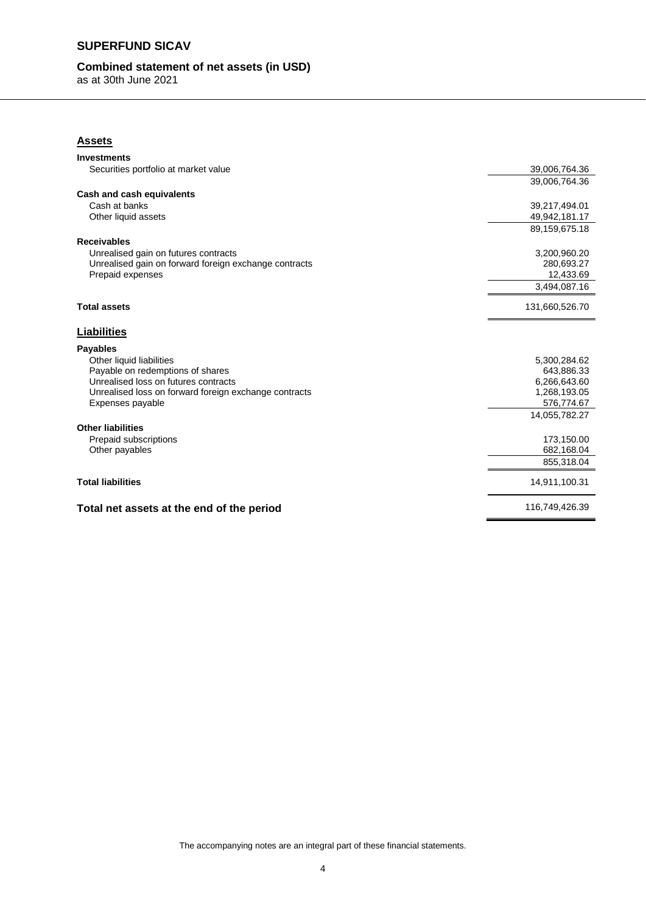### **Combined statement of net assets (in USD)**

as at 30th June 2021

### **Assets**

| <b>Investments</b>                                    |                  |
|-------------------------------------------------------|------------------|
| Securities portfolio at market value                  | 39,006,764.36    |
|                                                       | 39,006,764.36    |
| Cash and cash equivalents                             |                  |
| Cash at banks                                         | 39,217,494.01    |
| Other liquid assets                                   | 49,942,181.17    |
|                                                       | 89, 159, 675. 18 |
| <b>Receivables</b>                                    |                  |
| Unrealised gain on futures contracts                  | 3,200,960.20     |
| Unrealised gain on forward foreign exchange contracts | 280,693.27       |
| Prepaid expenses                                      | 12,433.69        |
|                                                       | 3,494,087.16     |
| <b>Total assets</b>                                   | 131,660,526.70   |
| <b>Liabilities</b>                                    |                  |
| <b>Payables</b>                                       |                  |
| Other liquid liabilities                              | 5,300,284.62     |
| Payable on redemptions of shares                      | 643,886.33       |
| Unrealised loss on futures contracts                  | 6,266,643.60     |
| Unrealised loss on forward foreign exchange contracts | 1,268,193.05     |
| Expenses payable                                      | 576,774.67       |
|                                                       | 14,055,782.27    |
| <b>Other liabilities</b>                              |                  |
| Prepaid subscriptions                                 | 173,150.00       |
| Other payables                                        | 682,168.04       |
|                                                       | 855.318.04       |
| <b>Total liabilities</b>                              | 14,911,100.31    |
| Total net assets at the end of the period             | 116,749,426.39   |

The accompanying notes are an integral part of these financial statements.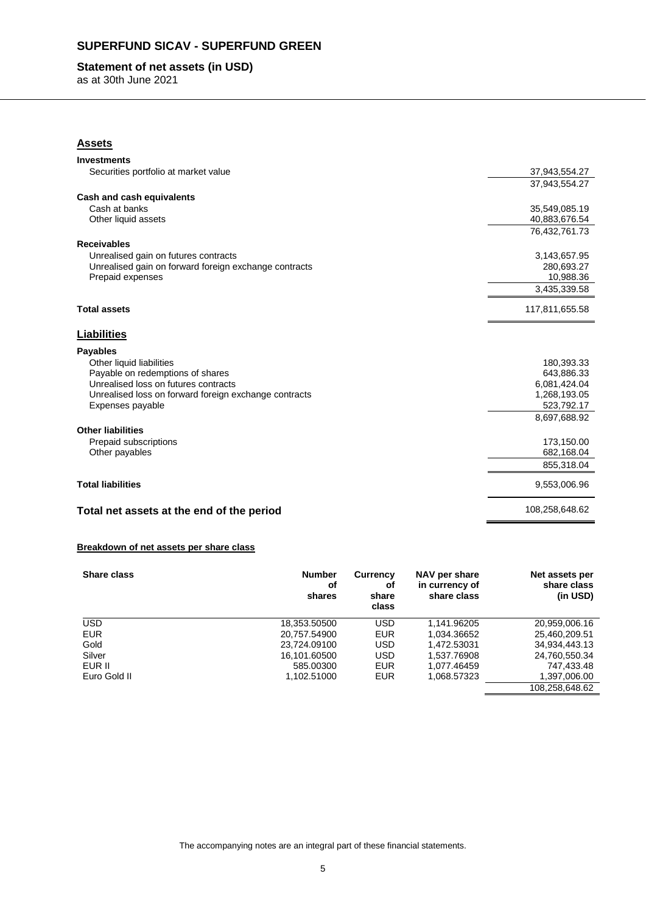### **SUPERFUND SICAV - SUPERFUND GREEN**

### **Statement of net assets (in USD)**

as at 30th June 2021

| <b>Assets</b>                                         |                |
|-------------------------------------------------------|----------------|
| <b>Investments</b>                                    |                |
| Securities portfolio at market value                  | 37,943,554.27  |
|                                                       | 37,943,554.27  |
| Cash and cash equivalents                             |                |
| Cash at banks                                         | 35,549,085.19  |
| Other liquid assets                                   | 40,883,676.54  |
|                                                       | 76,432,761.73  |
| <b>Receivables</b>                                    |                |
| Unrealised gain on futures contracts                  | 3,143,657.95   |
| Unrealised gain on forward foreign exchange contracts | 280,693.27     |
| Prepaid expenses                                      | 10,988.36      |
|                                                       | 3,435,339.58   |
| <b>Total assets</b>                                   | 117,811,655.58 |
| <b>Liabilities</b>                                    |                |
| <b>Payables</b>                                       |                |
| Other liquid liabilities                              | 180,393.33     |
| Payable on redemptions of shares                      | 643,886.33     |
| Unrealised loss on futures contracts                  | 6,081,424.04   |
| Unrealised loss on forward foreign exchange contracts | 1,268,193.05   |
| Expenses payable                                      | 523,792.17     |
|                                                       | 8,697,688.92   |
| <b>Other liabilities</b>                              |                |
| Prepaid subscriptions                                 | 173,150.00     |
| Other payables                                        | 682,168.04     |
|                                                       | 855,318.04     |
| <b>Total liabilities</b>                              | 9,553,006.96   |
| Total net assets at the end of the period             | 108,258,648.62 |

#### **Breakdown of net assets per share class**

| Share class  | <b>Number</b><br>οf<br>shares | Currency<br>оf<br>share<br>class | NAV per share<br>in currency of<br>share class | Net assets per<br>share class<br>(in USD) |
|--------------|-------------------------------|----------------------------------|------------------------------------------------|-------------------------------------------|
| <b>USD</b>   | 18,353.50500                  | <b>USD</b>                       | 1.141.96205                                    | 20,959,006.16                             |
| <b>EUR</b>   | 20.757.54900                  | <b>EUR</b>                       | 1.034.36652                                    | 25.460.209.51                             |
| Gold         | 23,724.09100                  | <b>USD</b>                       | 1,472.53031                                    | 34,934,443.13                             |
| Silver       | 16,101.60500                  | <b>USD</b>                       | 1,537.76908                                    | 24,760,550.34                             |
| EUR II       | 585,00300                     | <b>EUR</b>                       | 1.077.46459                                    | 747.433.48                                |
| Euro Gold II | 1.102.51000                   | <b>EUR</b>                       | 1.068.57323                                    | 1,397,006.00                              |
|              |                               |                                  |                                                | 108,258,648.62                            |

The accompanying notes are an integral part of these financial statements.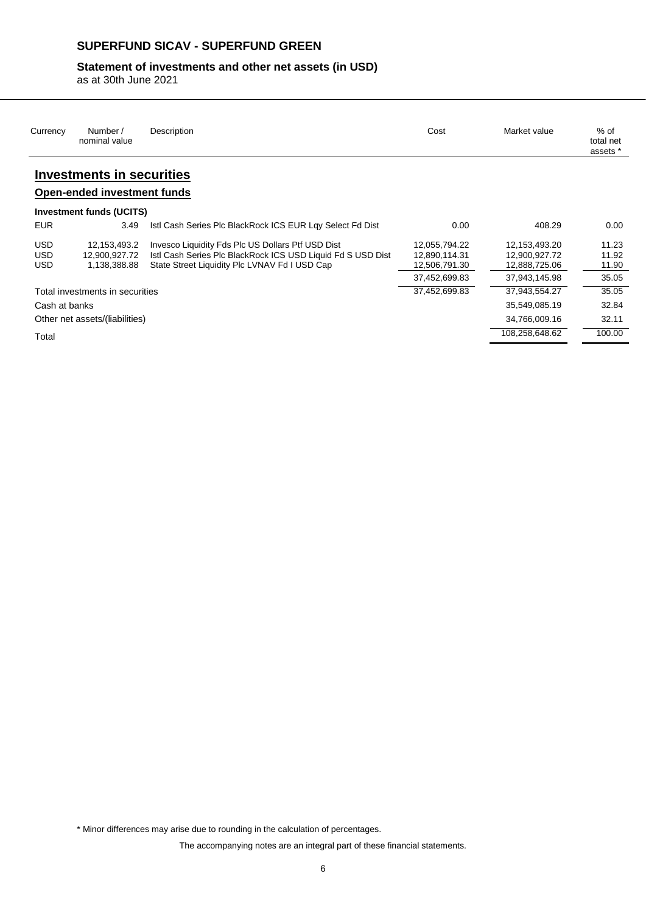### **SUPERFUND SICAV - SUPERFUND GREEN**

### **Statement of investments and other net assets (in USD)**

as at 30th June 2021

| Currency      | Number /<br>nominal value          | Description                                                 | Cost          | Market value   | $%$ of<br>total net<br>assets * |
|---------------|------------------------------------|-------------------------------------------------------------|---------------|----------------|---------------------------------|
|               | <b>Investments in securities</b>   |                                                             |               |                |                                 |
|               | <b>Open-ended investment funds</b> |                                                             |               |                |                                 |
|               | <b>Investment funds (UCITS)</b>    |                                                             |               |                |                                 |
| <b>EUR</b>    | 3.49                               | Istl Cash Series Plc BlackRock ICS EUR Lgy Select Fd Dist   | 0.00          | 408.29         | 0.00                            |
| USD           | 12,153,493.2                       | Invesco Liquidity Fds Plc US Dollars Ptf USD Dist           | 12,055,794.22 | 12,153,493.20  | 11.23                           |
| <b>USD</b>    | 12,900,927.72                      | Istl Cash Series Plc BlackRock ICS USD Liquid Fd S USD Dist | 12,890,114.31 | 12,900,927.72  | 11.92                           |
| USD           | 1,138,388.88                       | State Street Liquidity Plc LVNAV Fd I USD Cap               | 12,506,791.30 | 12,888,725.06  | 11.90                           |
|               |                                    |                                                             | 37,452,699.83 | 37,943,145.98  | 35.05                           |
|               | Total investments in securities    |                                                             | 37.452.699.83 | 37,943,554.27  | 35.05                           |
| Cash at banks |                                    |                                                             |               | 35,549,085.19  | 32.84                           |
|               | Other net assets/(liabilities)     |                                                             |               | 34,766,009.16  | 32.11                           |
| Total         |                                    |                                                             |               | 108,258,648.62 | 100.00                          |
|               |                                    |                                                             |               |                |                                 |

\* Minor differences may arise due to rounding in the calculation of percentages.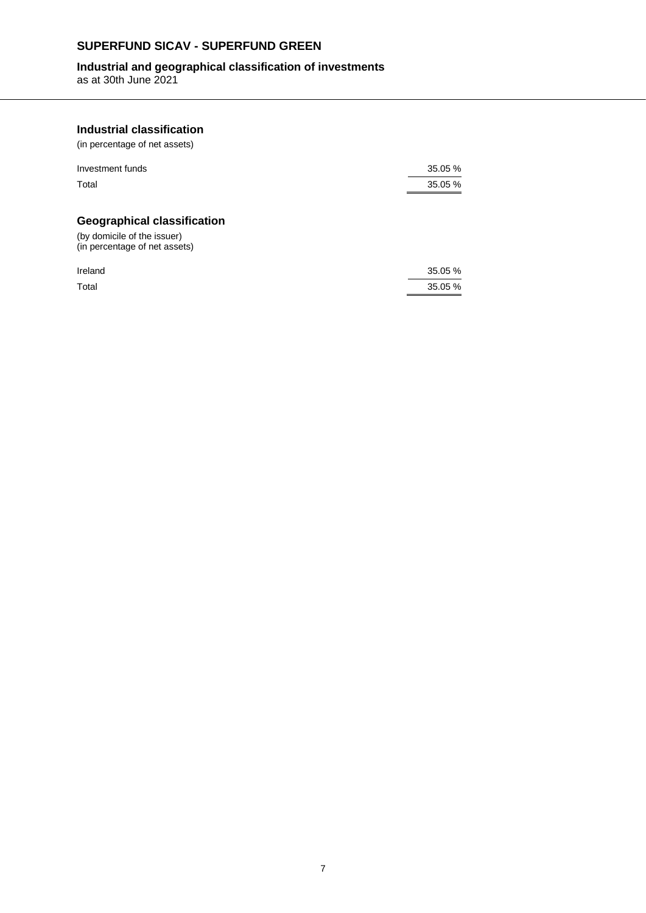### **SUPERFUND SICAV - SUPERFUND GREEN**

### **Industrial and geographical classification of investments**

as at 30th June 2021

### **Industrial classification**

(in percentage of net assets)

| Investment funds | 35.05 % |
|------------------|---------|
| Total            | 35.05 % |

### **Geographical classification**

(by domicile of the issuer) (in percentage of net assets)

| Ireland | 35.05 % |
|---------|---------|
| Total   | 35.05 % |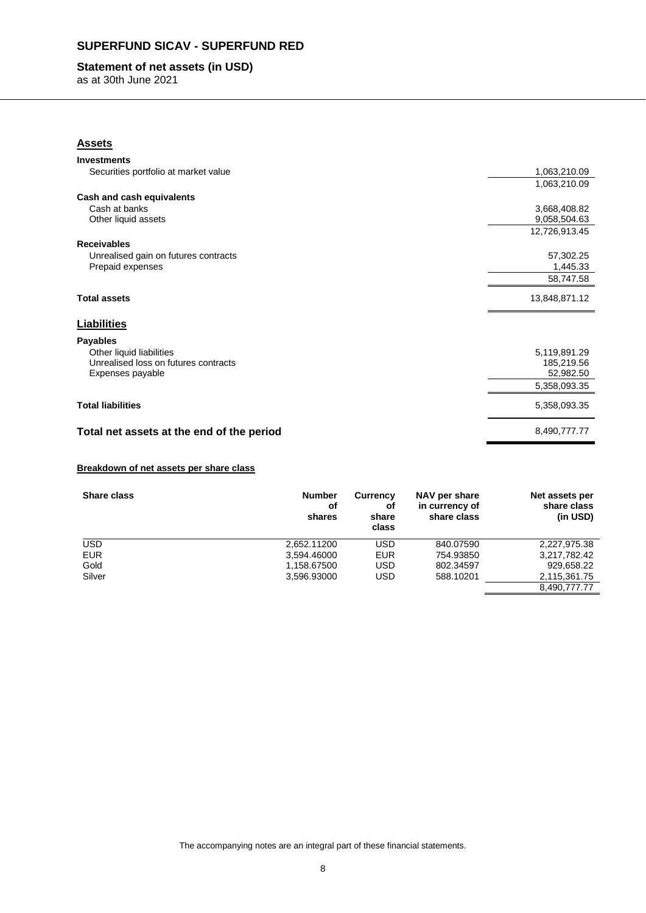### **SUPERFUND SICAV - SUPERFUND RED**

### **Statement of net assets (in USD)**

as at 30th June 2021

| <b>Assets</b>                             |               |
|-------------------------------------------|---------------|
| <b>Investments</b>                        |               |
| Securities portfolio at market value      | 1,063,210.09  |
|                                           | 1,063,210.09  |
| Cash and cash equivalents                 |               |
| Cash at banks                             | 3,668,408.82  |
| Other liquid assets                       | 9,058,504.63  |
|                                           | 12,726,913.45 |
| <b>Receivables</b>                        |               |
| Unrealised gain on futures contracts      | 57,302.25     |
| Prepaid expenses                          | 1,445.33      |
|                                           | 58,747.58     |
| <b>Total assets</b>                       | 13,848,871.12 |
| <b>Liabilities</b>                        |               |
| <b>Payables</b>                           |               |
| Other liquid liabilities                  | 5,119,891.29  |
| Unrealised loss on futures contracts      | 185,219.56    |
| Expenses payable                          | 52,982.50     |
|                                           | 5,358,093.35  |
| <b>Total liabilities</b>                  | 5,358,093.35  |
| Total net assets at the end of the period | 8,490,777.77  |
|                                           |               |

#### **Breakdown of net assets per share class**

| <b>Share class</b> | <b>Number</b><br>οf<br>shares | <b>Currency</b><br>оf<br>share<br>class | NAV per share<br>in currency of<br>share class | Net assets per<br>share class<br>(in USD) |
|--------------------|-------------------------------|-----------------------------------------|------------------------------------------------|-------------------------------------------|
| <b>USD</b>         | 2,652.11200                   | USD                                     | 840.07590                                      | 2,227,975.38                              |
| <b>EUR</b>         | 3.594.46000                   | <b>EUR</b>                              | 754.93850                                      | 3,217,782.42                              |
| Gold               | 1.158.67500                   | USD                                     | 802.34597                                      | 929,658.22                                |
| Silver             | 3,596.93000                   | USD                                     | 588.10201                                      | 2,115,361.75                              |
|                    |                               |                                         |                                                | 8,490,777.77                              |

The accompanying notes are an integral part of these financial statements.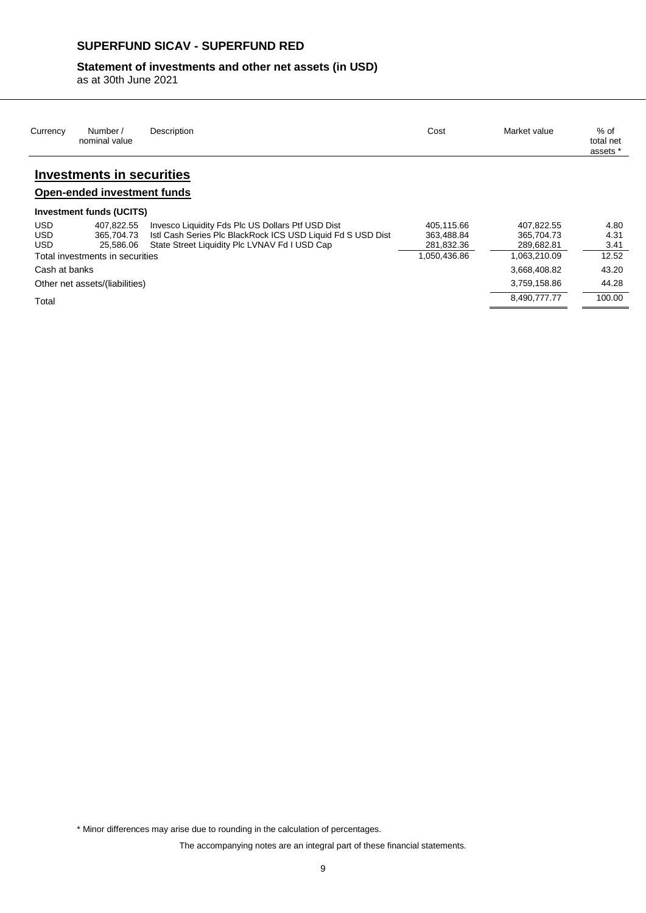### **SUPERFUND SICAV - SUPERFUND RED**

### **Statement of investments and other net assets (in USD)**

as at 30th June 2021

| Currency                               | Number /<br>nominal value             | Description                                                                                                                                                       | Cost                                   | Market value                           | % of<br>total net<br>assets * |
|----------------------------------------|---------------------------------------|-------------------------------------------------------------------------------------------------------------------------------------------------------------------|----------------------------------------|----------------------------------------|-------------------------------|
|                                        | <b>Investments in securities</b>      |                                                                                                                                                                   |                                        |                                        |                               |
|                                        | Open-ended investment funds           |                                                                                                                                                                   |                                        |                                        |                               |
|                                        | Investment funds (UCITS)              |                                                                                                                                                                   |                                        |                                        |                               |
| <b>USD</b><br><b>USD</b><br><b>USD</b> | 407.822.55<br>365.704.73<br>25.586.06 | Invesco Liquidity Fds Plc US Dollars Ptf USD Dist<br>Istl Cash Series Plc BlackRock ICS USD Liquid Fd S USD Dist<br>State Street Liquidity Plc LVNAV Fd I USD Cap | 405.115.66<br>363.488.84<br>281,832.36 | 407.822.55<br>365.704.73<br>289.682.81 | 4.80<br>4.31<br>3.41          |
|                                        | Total investments in securities       |                                                                                                                                                                   | 1,050,436.86                           | 1,063,210.09                           | 12.52                         |
| Cash at banks                          |                                       |                                                                                                                                                                   |                                        | 3.668.408.82                           | 43.20                         |
|                                        | Other net assets/(liabilities)        |                                                                                                                                                                   |                                        | 3,759,158.86                           | 44.28                         |
| Total                                  |                                       |                                                                                                                                                                   |                                        | 8,490,777.77                           | 100.00                        |

\* Minor differences may arise due to rounding in the calculation of percentages.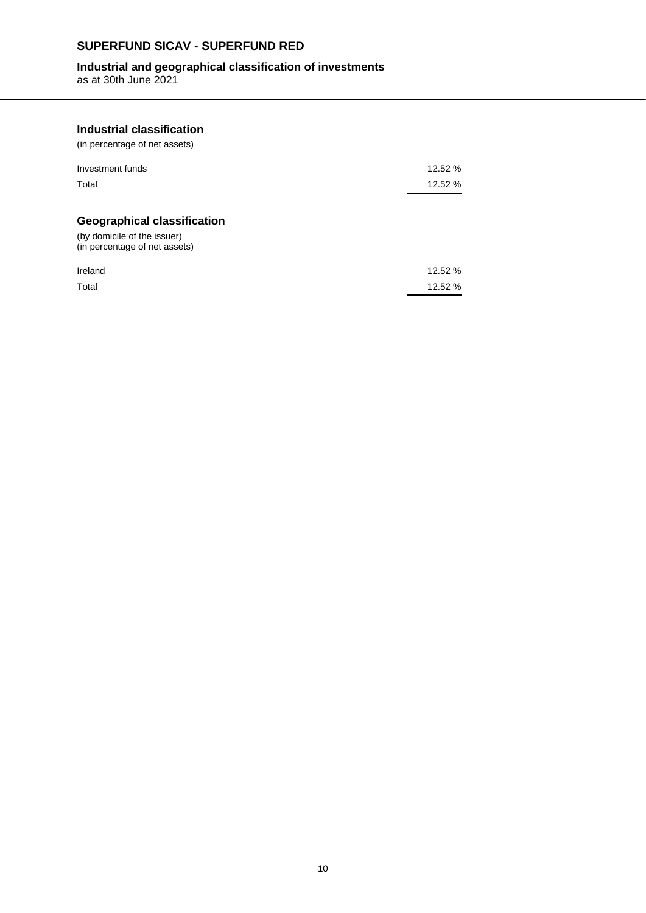### **SUPERFUND SICAV - SUPERFUND RED**

### **Industrial and geographical classification of investments**

as at 30th June 2021

### **Industrial classification**

(in percentage of net assets)

| Investment funds | 12.52 % |
|------------------|---------|
| Total            | 12.52 % |

### **Geographical classification**

(by domicile of the issuer) (in percentage of net assets)

| Ireland | 12.52 % |
|---------|---------|
| Total   | 12.52 % |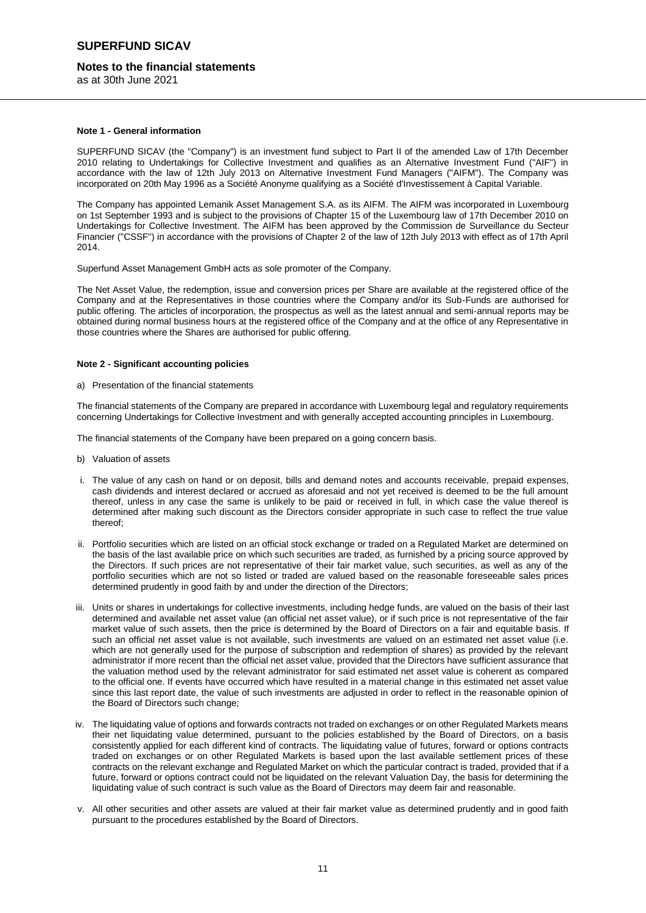#### **Notes to the financial statements**

as at 30th June 2021

#### **Note 1 - General information**

SUPERFUND SICAV (the "Company") is an investment fund subject to Part II of the amended Law of 17th December 2010 relating to Undertakings for Collective Investment and qualifies as an Alternative Investment Fund ("AIF") in accordance with the law of 12th July 2013 on Alternative Investment Fund Managers ("AIFM"). The Company was incorporated on 20th May 1996 as a Société Anonyme qualifying as a Société d'Investissement à Capital Variable.

The Company has appointed Lemanik Asset Management S.A. as its AIFM. The AIFM was incorporated in Luxembourg on 1st September 1993 and is subject to the provisions of Chapter 15 of the Luxembourg law of 17th December 2010 on Undertakings for Collective Investment. The AIFM has been approved by the Commission de Surveillance du Secteur Financier ("CSSF") in accordance with the provisions of Chapter 2 of the law of 12th July 2013 with effect as of 17th April 2014.

Superfund Asset Management GmbH acts as sole promoter of the Company.

The Net Asset Value, the redemption, issue and conversion prices per Share are available at the registered office of the Company and at the Representatives in those countries where the Company and/or its Sub-Funds are authorised for public offering. The articles of incorporation, the prospectus as well as the latest annual and semi-annual reports may be obtained during normal business hours at the registered office of the Company and at the office of any Representative in those countries where the Shares are authorised for public offering.

#### **Note 2 - Significant accounting policies**

a) Presentation of the financial statements

The financial statements of the Company are prepared in accordance with Luxembourg legal and regulatory requirements concerning Undertakings for Collective Investment and with generally accepted accounting principles in Luxembourg.

The financial statements of the Company have been prepared on a going concern basis.

- b) Valuation of assets
- i. The value of any cash on hand or on deposit, bills and demand notes and accounts receivable, prepaid expenses, cash dividends and interest declared or accrued as aforesaid and not yet received is deemed to be the full amount thereof, unless in any case the same is unlikely to be paid or received in full, in which case the value thereof is determined after making such discount as the Directors consider appropriate in such case to reflect the true value thereof;
- ii. Portfolio securities which are listed on an official stock exchange or traded on a Regulated Market are determined on the basis of the last available price on which such securities are traded, as furnished by a pricing source approved by the Directors. If such prices are not representative of their fair market value, such securities, as well as any of the portfolio securities which are not so listed or traded are valued based on the reasonable foreseeable sales prices determined prudently in good faith by and under the direction of the Directors;
- iii. Units or shares in undertakings for collective investments, including hedge funds, are valued on the basis of their last determined and available net asset value (an official net asset value), or if such price is not representative of the fair market value of such assets, then the price is determined by the Board of Directors on a fair and equitable basis. If such an official net asset value is not available, such investments are valued on an estimated net asset value (i.e. which are not generally used for the purpose of subscription and redemption of shares) as provided by the relevant administrator if more recent than the official net asset value, provided that the Directors have sufficient assurance that the valuation method used by the relevant administrator for said estimated net asset value is coherent as compared to the official one. If events have occurred which have resulted in a material change in this estimated net asset value since this last report date, the value of such investments are adjusted in order to reflect in the reasonable opinion of the Board of Directors such change;
- iv. The liquidating value of options and forwards contracts not traded on exchanges or on other Regulated Markets means their net liquidating value determined, pursuant to the policies established by the Board of Directors, on a basis consistently applied for each different kind of contracts. The liquidating value of futures, forward or options contracts traded on exchanges or on other Regulated Markets is based upon the last available settlement prices of these contracts on the relevant exchange and Regulated Market on which the particular contract is traded, provided that if a future, forward or options contract could not be liquidated on the relevant Valuation Day, the basis for determining the liquidating value of such contract is such value as the Board of Directors may deem fair and reasonable.
- v. All other securities and other assets are valued at their fair market value as determined prudently and in good faith pursuant to the procedures established by the Board of Directors.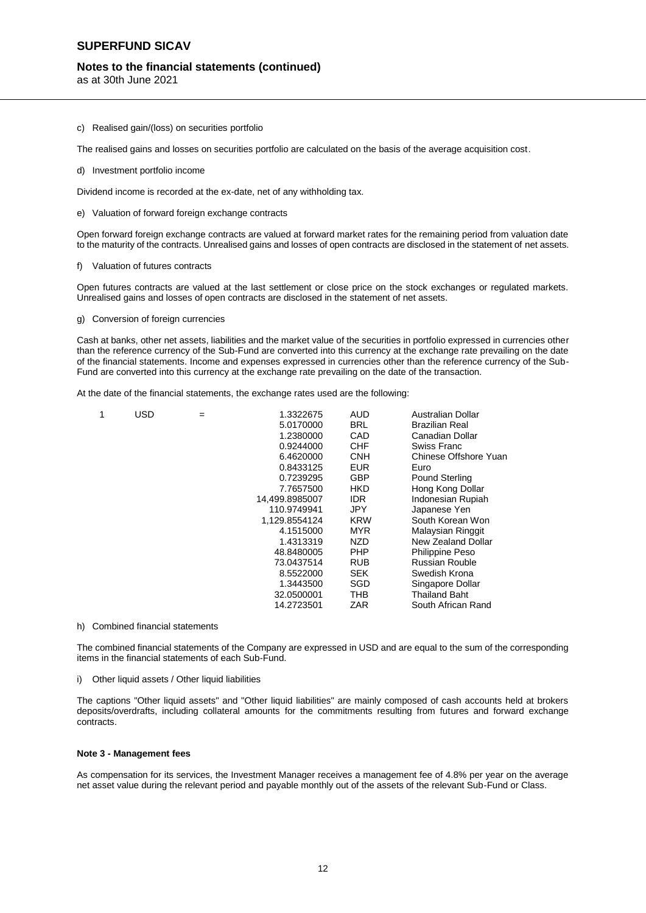### **Notes to the financial statements (continued)**

as at 30th June 2021

- c) Realised gain/(loss) on securities portfolio
- The realised gains and losses on securities portfolio are calculated on the basis of the average acquisition cost.
- d) Investment portfolio income

Dividend income is recorded at the ex-date, net of any withholding tax.

e) Valuation of forward foreign exchange contracts

Open forward foreign exchange contracts are valued at forward market rates for the remaining period from valuation date to the maturity of the contracts. Unrealised gains and losses of open contracts are disclosed in the statement of net assets.

#### f) Valuation of futures contracts

Open futures contracts are valued at the last settlement or close price on the stock exchanges or regulated markets. Unrealised gains and losses of open contracts are disclosed in the statement of net assets.

g) Conversion of foreign currencies

Cash at banks, other net assets, liabilities and the market value of the securities in portfolio expressed in currencies other than the reference currency of the Sub-Fund are converted into this currency at the exchange rate prevailing on the date of the financial statements. Income and expenses expressed in currencies other than the reference currency of the Sub-Fund are converted into this currency at the exchange rate prevailing on the date of the transaction.

At the date of the financial statements, the exchange rates used are the following:

| 1 | <b>USD</b> | = | 1.3322675      | AUD        | Australian Dollar     |
|---|------------|---|----------------|------------|-----------------------|
|   |            |   | 5.0170000      | BRL        | <b>Brazilian Real</b> |
|   |            |   | 1.2380000      | CAD        | Canadian Dollar       |
|   |            |   | 0.9244000      | CHF        | Swiss Franc           |
|   |            |   | 6.4620000      | <b>CNH</b> | Chinese Offshore Yuan |
|   |            |   | 0.8433125      | EUR        | Euro                  |
|   |            |   | 0.7239295      | <b>GBP</b> | <b>Pound Sterling</b> |
|   |            |   | 7.7657500      | HKD        | Hong Kong Dollar      |
|   |            |   | 14,499.8985007 | IDR.       | Indonesian Rupiah     |
|   |            |   | 110.9749941    | JPY        | Japanese Yen          |
|   |            |   | 1,129.8554124  | KRW        | South Korean Won      |
|   |            |   | 4.1515000      | MYR        | Malaysian Ringgit     |
|   |            |   | 1.4313319      | NZD        | New Zealand Dollar    |
|   |            |   | 48.8480005     | <b>PHP</b> | Philippine Peso       |
|   |            |   | 73.0437514     | <b>RUB</b> | Russian Rouble        |
|   |            |   | 8.5522000      | <b>SEK</b> | Swedish Krona         |
|   |            |   | 1.3443500      | SGD        | Singapore Dollar      |
|   |            |   | 32.0500001     | тнв        | Thailand Baht         |
|   |            |   | 14.2723501     | ZAR        | South African Rand    |
|   |            |   |                |            |                       |

#### h) Combined financial statements

The combined financial statements of the Company are expressed in USD and are equal to the sum of the corresponding items in the financial statements of each Sub-Fund.

#### i) Other liquid assets / Other liquid liabilities

The captions "Other liquid assets" and "Other liquid liabilities" are mainly composed of cash accounts held at brokers deposits/overdrafts, including collateral amounts for the commitments resulting from futures and forward exchange contracts.

#### **Note 3 - Management fees**

As compensation for its services, the Investment Manager receives a management fee of 4.8% per year on the average net asset value during the relevant period and payable monthly out of the assets of the relevant Sub-Fund or Class.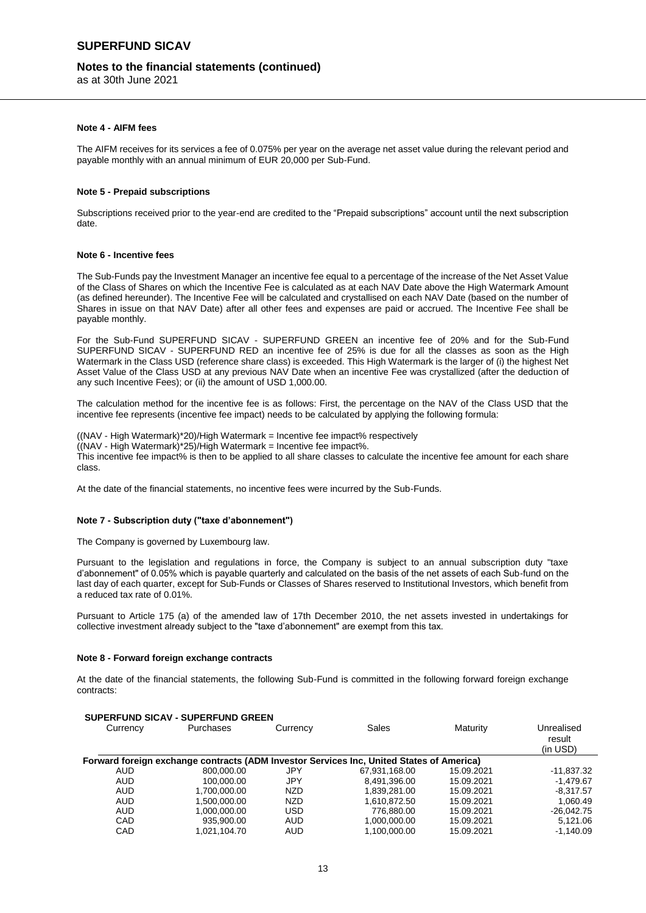#### **Notes to the financial statements (continued)**

as at 30th June 2021

#### **Note 4 - AIFM fees**

The AIFM receives for its services a fee of 0.075% per year on the average net asset value during the relevant period and payable monthly with an annual minimum of EUR 20,000 per Sub-Fund.

#### **Note 5 - Prepaid subscriptions**

Subscriptions received prior to the year-end are credited to the "Prepaid subscriptions" account until the next subscription date.

#### **Note 6 - Incentive fees**

The Sub-Funds pay the Investment Manager an incentive fee equal to a percentage of the increase of the Net Asset Value of the Class of Shares on which the Incentive Fee is calculated as at each NAV Date above the High Watermark Amount (as defined hereunder). The Incentive Fee will be calculated and crystallised on each NAV Date (based on the number of Shares in issue on that NAV Date) after all other fees and expenses are paid or accrued. The Incentive Fee shall be payable monthly.

For the Sub-Fund SUPERFUND SICAV - SUPERFUND GREEN an incentive fee of 20% and for the Sub-Fund SUPERFUND SICAV - SUPERFUND RED an incentive fee of 25% is due for all the classes as soon as the High Watermark in the Class USD (reference share class) is exceeded. This High Watermark is the larger of (i) the highest Net Asset Value of the Class USD at any previous NAV Date when an incentive Fee was crystallized (after the deduction of any such Incentive Fees); or (ii) the amount of USD 1,000.00.

The calculation method for the incentive fee is as follows: First, the percentage on the NAV of the Class USD that the incentive fee represents (incentive fee impact) needs to be calculated by applying the following formula:

((NAV - High Watermark)\*20)/High Watermark = Incentive fee impact% respectively  $((NAV - High Watermark)*25)/High Watermark = Incentive fee impact%.$ This incentive fee impact% is then to be applied to all share classes to calculate the incentive fee amount for each share class.

At the date of the financial statements, no incentive fees were incurred by the Sub-Funds.

#### **Note 7 - Subscription duty ("taxe d'abonnement")**

The Company is governed by Luxembourg law.

Pursuant to the legislation and regulations in force, the Company is subject to an annual subscription duty "taxe d'abonnement" of 0.05% which is payable quarterly and calculated on the basis of the net assets of each Sub-fund on the last day of each quarter, except for Sub-Funds or Classes of Shares reserved to Institutional Investors, which benefit from a reduced tax rate of 0.01%.

Pursuant to Article 175 (a) of the amended law of 17th December 2010, the net assets invested in undertakings for collective investment already subject to the "taxe d'abonnement" are exempt from this tax.

#### **Note 8 - Forward foreign exchange contracts**

**SUPERFUND SICAV - SUPERFUND GREEN**

At the date of the financial statements, the following Sub-Fund is committed in the following forward foreign exchange contracts:

|          | SUPERFUND SICAV - SUPERFUND GREEN |            |                                                                                          |            |                                  |  |  |  |
|----------|-----------------------------------|------------|------------------------------------------------------------------------------------------|------------|----------------------------------|--|--|--|
| Currency | Purchases                         | Currency   | Sales                                                                                    | Maturity   | Unrealised<br>result<br>(in USD) |  |  |  |
|          |                                   |            | Forward foreign exchange contracts (ADM Investor Services Inc, United States of America) |            |                                  |  |  |  |
| AUD      | 800.000.00                        | JPY        | 67.931.168.00                                                                            | 15.09.2021 | $-11,837.32$                     |  |  |  |
| AUD      | 100.000.00                        | JPY        | 8.491.396.00                                                                             | 15.09.2021 | $-1.479.67$                      |  |  |  |
| AUD      | 1.700.000.00                      | <b>NZD</b> | 1.839.281.00                                                                             | 15.09.2021 | $-8.317.57$                      |  |  |  |
| AUD      | 1.500.000.00                      | <b>NZD</b> | 1.610.872.50                                                                             | 15.09.2021 | 1.060.49                         |  |  |  |
| AUD      | 1.000.000.00                      | <b>USD</b> | 776.880.00                                                                               | 15.09.2021 | $-26,042.75$                     |  |  |  |
| CAD      | 935.900.00                        | <b>AUD</b> | 1.000.000.00                                                                             | 15.09.2021 | 5.121.06                         |  |  |  |
| CAD      | 1.021.104.70                      | <b>AUD</b> | 1.100.000.00                                                                             | 15.09.2021 | $-1.140.09$                      |  |  |  |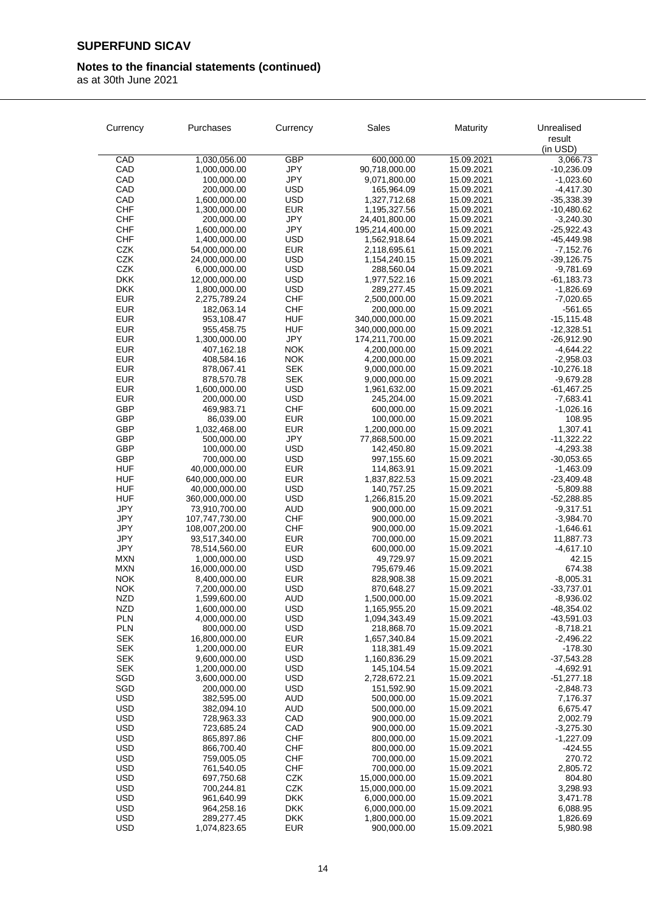## **Notes to the financial statements (continued)**

|                          | Purchases                       | Currency                 | Sales                            | Maturity                 | Unrealised                  |
|--------------------------|---------------------------------|--------------------------|----------------------------------|--------------------------|-----------------------------|
| Currency                 |                                 |                          |                                  |                          | result                      |
|                          |                                 |                          |                                  |                          | (in USD)                    |
| CAD                      | 1,030,056.00                    | <b>GBP</b>               | 600,000.00                       | 15.09.2021               | 3,066.73                    |
| CAD                      | 1,000,000.00                    | JPY                      | 90,718,000.00                    | 15.09.2021               | $-10,236.09$                |
| CAD<br>CAD               | 100,000.00<br>200,000.00        | <b>JPY</b><br><b>USD</b> | 9,071,800.00<br>165,964.09       | 15.09.2021<br>15.09.2021 | $-1,023.60$<br>$-4,417.30$  |
| CAD                      | 1,600,000.00                    | <b>USD</b>               | 1,327,712.68                     | 15.09.2021               | $-35,338.39$                |
| <b>CHF</b>               | 1,300,000.00                    | <b>EUR</b>               | 1,195,327.56                     | 15.09.2021               | $-10,480.62$                |
| <b>CHF</b>               | 200,000.00                      | JPY                      | 24,401,800.00                    | 15.09.2021               | $-3,240.30$                 |
| <b>CHF</b>               | 1,600,000.00                    | JPY                      | 195,214,400.00                   | 15.09.2021               | $-25,922.43$                |
| <b>CHF</b>               | 1,400,000.00                    | <b>USD</b>               | 1,562,918.64                     | 15.09.2021               | -45,449.98                  |
| CZK                      | 54,000,000.00                   | <b>EUR</b>               | 2,118,695.61                     | 15.09.2021               | $-7,152.76$                 |
| CZK<br>CZK               | 24,000,000.00<br>6,000,000.00   | <b>USD</b><br><b>USD</b> | 1,154,240.15<br>288,560.04       | 15.09.2021<br>15.09.2021 | $-39,126.75$<br>$-9,781.69$ |
| <b>DKK</b>               | 12,000,000.00                   | <b>USD</b>               | 1,977,522.16                     | 15.09.2021               | $-61,183.73$                |
| <b>DKK</b>               | 1,800,000.00                    | <b>USD</b>               | 289,277.45                       | 15.09.2021               | $-1,826.69$                 |
| <b>EUR</b>               | 2,275,789.24                    | <b>CHF</b>               | 2,500,000.00                     | 15.09.2021               | $-7,020.65$                 |
| <b>EUR</b>               | 182,063.14                      | <b>CHF</b>               | 200,000.00                       | 15.09.2021               | $-561.65$                   |
| <b>EUR</b>               | 953,108.47                      | <b>HUF</b>               | 340,000,000.00                   | 15.09.2021               | $-15, 115.48$               |
| <b>EUR</b>               | 955,458.75                      | <b>HUF</b>               | 340,000,000.00<br>174,211,700.00 | 15.09.2021               | $-12,328.51$                |
| <b>EUR</b><br><b>EUR</b> | 1,300,000.00<br>407,162.18      | JPY<br><b>NOK</b>        | 4,200,000.00                     | 15.09.2021<br>15.09.2021 | $-26,912.90$<br>$-4,644.22$ |
| <b>EUR</b>               | 408,584.16                      | <b>NOK</b>               | 4,200,000.00                     | 15.09.2021               | $-2,958.03$                 |
| <b>EUR</b>               | 878,067.41                      | <b>SEK</b>               | 9,000,000.00                     | 15.09.2021               | $-10,276.18$                |
| <b>EUR</b>               | 878,570.78                      | <b>SEK</b>               | 9,000,000.00                     | 15.09.2021               | $-9,679.28$                 |
| <b>EUR</b>               | 1,600,000.00                    | <b>USD</b>               | 1,961,632.00                     | 15.09.2021               | $-61,467.25$                |
| <b>EUR</b>               | 200,000.00                      | <b>USD</b>               | 245,204.00                       | 15.09.2021               | $-7,683.41$                 |
| GBP                      | 469,983.71                      | <b>CHF</b>               | 600,000.00                       | 15.09.2021               | $-1,026.16$                 |
| <b>GBP</b><br>GBP        | 86,039.00<br>1,032,468.00       | <b>EUR</b><br><b>EUR</b> | 100,000.00<br>1,200,000.00       | 15.09.2021<br>15.09.2021 | 108.95<br>1,307.41          |
| <b>GBP</b>               | 500,000.00                      | <b>JPY</b>               | 77,868,500.00                    | 15.09.2021               | $-11,322.22$                |
| <b>GBP</b>               | 100,000.00                      | <b>USD</b>               | 142,450.80                       | 15.09.2021               | $-4,293.38$                 |
| <b>GBP</b>               | 700,000.00                      | <b>USD</b>               | 997,155.60                       | 15.09.2021               | $-30,053.65$                |
| <b>HUF</b>               | 40,000,000.00                   | <b>EUR</b>               | 114,863.91                       | 15.09.2021               | $-1,463.09$                 |
| <b>HUF</b>               | 640,000,000.00                  | <b>EUR</b>               | 1,837,822.53                     | 15.09.2021               | -23,409.48                  |
| <b>HUF</b><br>HUF        | 40,000,000.00                   | <b>USD</b><br><b>USD</b> | 140,757.25                       | 15.09.2021               | $-5,809.88$                 |
| <b>JPY</b>               | 360,000,000.00<br>73,910,700.00 | AUD                      | 1,266,815.20<br>900,000.00       | 15.09.2021<br>15.09.2021 | $-52,288.85$<br>$-9,317.51$ |
| JPY                      | 107,747,730.00                  | <b>CHF</b>               | 900,000.00                       | 15.09.2021               | $-3,984.70$                 |
| <b>JPY</b>               | 108,007,200.00                  | <b>CHF</b>               | 900,000.00                       | 15.09.2021               | $-1,646.61$                 |
| <b>JPY</b>               | 93,517,340.00                   | <b>EUR</b>               | 700,000.00                       | 15.09.2021               | 11,887.73                   |
| <b>JPY</b>               | 78,514,560.00                   | <b>EUR</b>               | 600,000.00                       | 15.09.2021               | $-4,617.10$                 |
| <b>MXN</b><br><b>MXN</b> | 1,000,000.00<br>16,000,000.00   | <b>USD</b><br><b>USD</b> | 49,729.97<br>795,679.46          | 15.09.2021<br>15.09.2021 | 42.15<br>674.38             |
| <b>NOK</b>               | 8,400,000.00                    | <b>EUR</b>               | 828,908.38                       | 15.09.2021               | $-8,005.31$                 |
| <b>NOK</b>               | 7,200,000.00                    | <b>USD</b>               | 870,648.27                       | 15.09.2021               | $-33,737.01$                |
| NZD                      | 1,599,600.00                    | <b>AUD</b>               | 1,500,000.00                     | 15.09.2021               | $-8,936.02$                 |
| <b>NZD</b>               | 1,600,000.00                    | <b>USD</b>               | 1,165,955.20                     | 15.09.2021               | $-48,354.02$                |
| <b>PLN</b>               | 4,000,000.00                    | <b>USD</b>               | 1,094,343.49                     | 15.09.2021               | $-43,591.03$                |
| <b>PLN</b>               | 800,000.00                      | <b>USD</b>               | 218,868.70                       | 15.09.2021               | $-8,718.21$                 |
| SEK<br>SEK               | 16.800.000.00<br>1,200,000.00   | <b>EUR</b><br>EUR        | 1,657,340.84<br>118,381.49       | 15.09.2021<br>15.09.2021 | $-2,496.22$<br>$-178.30$    |
| <b>SEK</b>               | 9,600,000.00                    | <b>USD</b>               | 1,160,836.29                     | 15.09.2021               | $-37,543.28$                |
| <b>SEK</b>               | 1,200,000.00                    | <b>USD</b>               | 145,104.54                       | 15.09.2021               | $-4,692.91$                 |
| SGD                      | 3,600,000.00                    | <b>USD</b>               | 2,728,672.21                     | 15.09.2021               | $-51,277.18$                |
| SGD                      | 200,000.00                      | USD                      | 151,592.90                       | 15.09.2021               | $-2,848.73$                 |
| <b>USD</b>               | 382,595.00                      | <b>AUD</b>               | 500,000.00                       | 15.09.2021               | 7,176.37                    |
| <b>USD</b><br><b>USD</b> | 382,094.10                      | <b>AUD</b><br>CAD        | 500,000.00                       | 15.09.2021<br>15.09.2021 | 6,675.47                    |
| USD                      | 728,963.33<br>723,685.24        | CAD                      | 900,000.00<br>900,000.00         | 15.09.2021               | 2,002.79<br>$-3,275.30$     |
| <b>USD</b>               | 865,897.86                      | <b>CHF</b>               | 800,000.00                       | 15.09.2021               | $-1,227.09$                 |
| <b>USD</b>               | 866,700.40                      | <b>CHF</b>               | 800,000.00                       | 15.09.2021               | $-424.55$                   |
| <b>USD</b>               | 759,005.05                      | <b>CHF</b>               | 700,000.00                       | 15.09.2021               | 270.72                      |
| <b>USD</b>               | 761,540.05                      | <b>CHF</b>               | 700,000.00                       | 15.09.2021               | 2,805.72                    |
| <b>USD</b>               | 697,750.68                      | <b>CZK</b>               | 15,000,000.00                    | 15.09.2021               | 804.80                      |
| USD                      | 700,244.81                      | <b>CZK</b>               | 15,000,000.00                    | 15.09.2021               | 3,298.93                    |
| USD<br>USD               | 961,640.99<br>964,258.16        | <b>DKK</b><br><b>DKK</b> | 6,000,000.00<br>6,000,000.00     | 15.09.2021<br>15.09.2021 | 3,471.78<br>6,088.95        |
| <b>USD</b>               | 289,277.45                      | <b>DKK</b>               | 1,800,000.00                     | 15.09.2021               | 1,826.69                    |
| <b>USD</b>               | 1,074,823.65                    | <b>EUR</b>               | 900,000.00                       | 15.09.2021               | 5,980.98                    |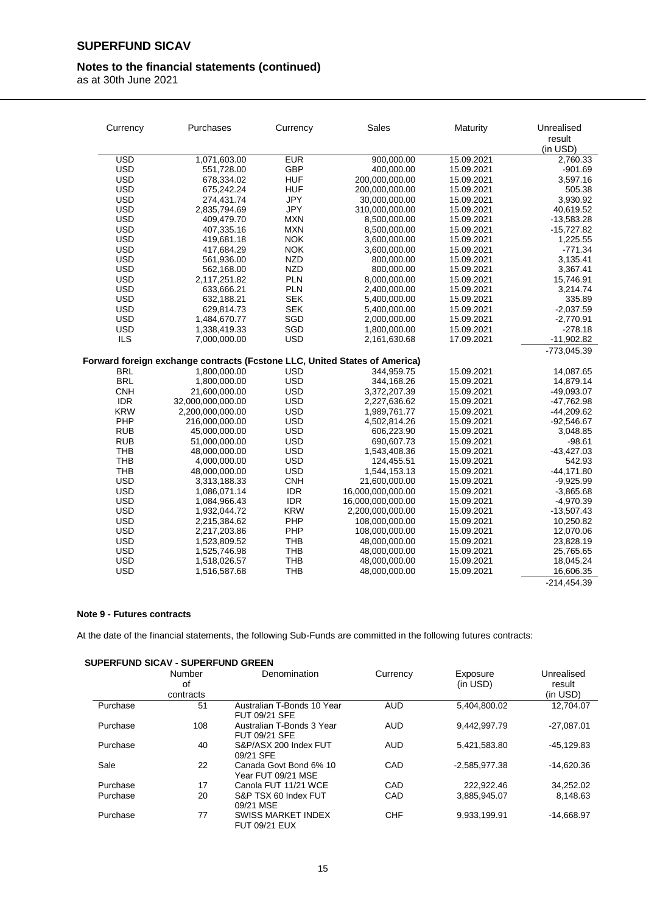### **Notes to the financial statements (continued)**

as at 30th June 2021

| Currency   | Purchases                                                                  | Currency   | Sales             | Maturity   | Unrealised<br>result<br>(in USD) |
|------------|----------------------------------------------------------------------------|------------|-------------------|------------|----------------------------------|
| <b>USD</b> | 1,071,603.00                                                               | <b>EUR</b> | 900,000.00        | 15.09.2021 | 2,760.33                         |
| <b>USD</b> | 551,728.00                                                                 | <b>GBP</b> | 400,000.00        | 15.09.2021 | $-901.69$                        |
| <b>USD</b> | 678,334.02                                                                 | <b>HUF</b> | 200,000,000.00    | 15.09.2021 | 3,597.16                         |
| <b>USD</b> | 675,242.24                                                                 | <b>HUF</b> | 200,000,000.00    | 15.09.2021 | 505.38                           |
| <b>USD</b> | 274,431.74                                                                 | <b>JPY</b> | 30,000,000.00     | 15.09.2021 | 3,930.92                         |
| <b>USD</b> | 2,835,794.69                                                               | <b>JPY</b> | 310,000,000.00    | 15.09.2021 | 40,619.52                        |
| <b>USD</b> | 409,479.70                                                                 | <b>MXN</b> | 8,500,000.00      | 15.09.2021 | $-13,583.28$                     |
| <b>USD</b> | 407,335.16                                                                 | <b>MXN</b> | 8,500,000.00      | 15.09.2021 | $-15,727.82$                     |
| <b>USD</b> | 419,681.18                                                                 | <b>NOK</b> | 3,600,000.00      | 15.09.2021 | 1,225.55                         |
| <b>USD</b> | 417,684.29                                                                 | <b>NOK</b> | 3,600,000.00      | 15.09.2021 | $-771.34$                        |
| <b>USD</b> | 561,936.00                                                                 | <b>NZD</b> | 800,000.00        | 15.09.2021 | 3,135.41                         |
| <b>USD</b> | 562,168.00                                                                 | <b>NZD</b> | 800,000.00        | 15.09.2021 | 3,367.41                         |
| <b>USD</b> | 2,117,251.82                                                               | <b>PLN</b> | 8,000,000.00      | 15.09.2021 | 15,746.91                        |
| <b>USD</b> | 633,666.21                                                                 | <b>PLN</b> | 2,400,000.00      | 15.09.2021 | 3,214.74                         |
| <b>USD</b> | 632,188.21                                                                 | <b>SEK</b> | 5,400,000.00      | 15.09.2021 | 335.89                           |
| <b>USD</b> | 629,814.73                                                                 | <b>SEK</b> | 5,400,000.00      | 15.09.2021 | $-2,037.59$                      |
| <b>USD</b> | 1,484,670.77                                                               | SGD        | 2,000,000.00      | 15.09.2021 | $-2,770.91$                      |
| <b>USD</b> | 1,338,419.33                                                               | SGD        | 1,800,000.00      | 15.09.2021 | $-278.18$                        |
| <b>ILS</b> | 7,000,000.00                                                               | <b>USD</b> | 2,161,630.68      | 17.09.2021 | $-11,902.82$                     |
|            |                                                                            |            |                   |            | -773,045.39                      |
|            | Forward foreign exchange contracts (Fcstone LLC, United States of America) |            |                   |            |                                  |
| <b>BRL</b> | 1,800,000.00                                                               | <b>USD</b> | 344,959.75        | 15.09.2021 | 14,087.65                        |
| <b>BRL</b> | 1,800,000.00                                                               | <b>USD</b> | 344,168.26        | 15.09.2021 | 14,879.14                        |
| <b>CNH</b> | 21,600,000.00                                                              | <b>USD</b> | 3,372,207.39      | 15.09.2021 | -49,093.07                       |
| <b>IDR</b> | 32,000,000,000.00                                                          | <b>USD</b> | 2,227,636.62      | 15.09.2021 | $-47,762.98$                     |
| <b>KRW</b> | 2,200,000,000.00                                                           | <b>USD</b> | 1,989,761.77      | 15.09.2021 | $-44,209.62$                     |
| PHP        | 216,000,000.00                                                             | <b>USD</b> | 4,502,814.26      | 15.09.2021 | $-92,546.67$                     |
| <b>RUB</b> | 45,000,000.00                                                              | <b>USD</b> | 606,223.90        | 15.09.2021 | 3,048.85                         |
| <b>RUB</b> | 51,000,000.00                                                              | <b>USD</b> | 690,607.73        | 15.09.2021 | $-98.61$                         |
| <b>THB</b> | 48,000,000.00                                                              | <b>USD</b> | 1,543,408.36      | 15.09.2021 | $-43,427.03$                     |
| <b>THB</b> | 4,000,000.00                                                               | <b>USD</b> | 124,455.51        | 15.09.2021 | 542.93                           |
| <b>THB</b> | 48,000,000.00                                                              | <b>USD</b> | 1,544,153.13      | 15.09.2021 | $-44,171.80$                     |
| <b>USD</b> | 3,313,188.33                                                               | <b>CNH</b> | 21,600,000.00     | 15.09.2021 | $-9,925.99$                      |
| <b>USD</b> | 1,086,071.14                                                               | <b>IDR</b> | 16,000,000,000.00 | 15.09.2021 | $-3,865.68$                      |
| <b>USD</b> | 1,084,966.43                                                               | <b>IDR</b> | 16,000,000,000.00 | 15.09.2021 | $-4,970.39$                      |
| <b>USD</b> | 1,932,044.72                                                               | <b>KRW</b> | 2,200,000,000.00  | 15.09.2021 | $-13,507.43$                     |
| <b>USD</b> | 2,215,384.62                                                               | PHP        | 108,000,000.00    | 15.09.2021 | 10,250.82                        |
| <b>USD</b> | 2,217,203.86                                                               | PHP        | 108,000,000.00    | 15.09.2021 | 12,070.06                        |
| <b>USD</b> | 1,523,809.52                                                               | <b>THB</b> | 48,000,000.00     | 15.09.2021 | 23,828.19                        |
| <b>USD</b> | 1,525,746.98                                                               | <b>THB</b> | 48,000,000.00     | 15.09.2021 | 25,765.65                        |
| <b>USD</b> | 1,518,026.57                                                               | <b>THB</b> | 48,000,000.00     | 15.09.2021 | 18,045.24                        |
| <b>USD</b> | 1,516,587.68                                                               | <b>THB</b> | 48,000,000.00     | 15.09.2021 | 16,606.35                        |

 $-214,454.39$ 

#### **Note 9 - Futures contracts**

At the date of the financial statements, the following Sub-Funds are committed in the following futures contracts:

|          | <b>SUPERFUND SICAV - SUPERFUND GREEN</b> |                                                   |            |                 |              |  |  |  |
|----------|------------------------------------------|---------------------------------------------------|------------|-----------------|--------------|--|--|--|
|          | Number                                   | Denomination                                      | Currency   | Exposure        | Unrealised   |  |  |  |
|          | οf                                       |                                                   |            | (in USD)        | result       |  |  |  |
|          | contracts                                |                                                   |            |                 | (in USD)     |  |  |  |
| Purchase | 51                                       | Australian T-Bonds 10 Year<br>FUT 09/21 SFE       | <b>AUD</b> | 5,404,800.02    | 12.704.07    |  |  |  |
| Purchase | 108                                      | Australian T-Bonds 3 Year<br>FUT 09/21 SFE        | <b>AUD</b> | 9,442,997.79    | $-27,087.01$ |  |  |  |
| Purchase | 40                                       | S&P/ASX 200 Index FUT<br>09/21 SFE                | <b>AUD</b> | 5,421,583.80    | $-45,129.83$ |  |  |  |
| Sale     | 22                                       | Canada Govt Bond 6% 10<br>Year FUT 09/21 MSE      | CAD        | $-2,585,977.38$ | $-14,620.36$ |  |  |  |
| Purchase | 17                                       | Canola FUT 11/21 WCE                              | CAD        | 222,922.46      | 34,252.02    |  |  |  |
| Purchase | 20                                       | S&P TSX 60 Index FUT<br>09/21 MSE                 | CAD        | 3.885.945.07    | 8.148.63     |  |  |  |
| Purchase | 77                                       | <b>SWISS MARKET INDEX</b><br><b>FUT 09/21 EUX</b> | <b>CHF</b> | 9,933,199.91    | $-14.668.97$ |  |  |  |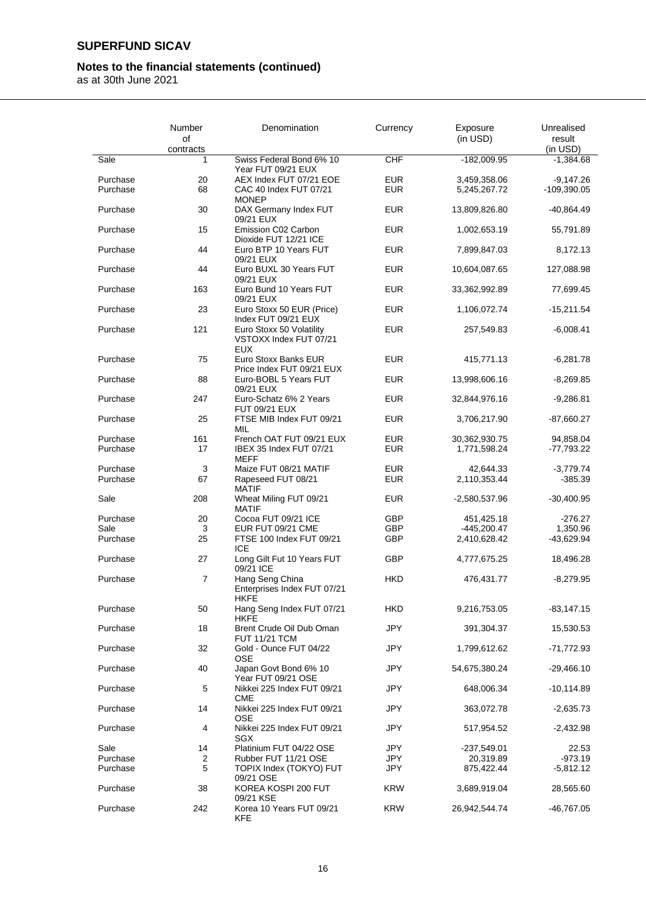### **Notes to the financial statements (continued)**

|                      | Number<br>οf | Denomination                                                     | Currency          | Exposure<br>(in USD)         | Unrealised<br>result         |
|----------------------|--------------|------------------------------------------------------------------|-------------------|------------------------------|------------------------------|
|                      | contracts    |                                                                  |                   |                              | (in USD)                     |
| Sale                 | 1            | Swiss Federal Bond 6% 10<br>Year FUT 09/21 EUX                   | CHF               | $-182,009.95$                | $-1,384.68$                  |
| Purchase<br>Purchase | 20<br>68     | AEX Index FUT 07/21 EOE<br>CAC 40 Index FUT 07/21                | <b>EUR</b><br>EUR | 3,459,358.06<br>5,245,267.72 | $-9,147.26$<br>$-109,390.05$ |
| Purchase             | 30           | <b>MONEP</b><br>DAX Germany Index FUT                            | <b>EUR</b>        | 13,809,826.80                | -40,864.49                   |
| Purchase             | 15           | 09/21 EUX<br>Emission C02 Carbon<br>Dioxide FUT 12/21 ICE        | <b>EUR</b>        | 1,002,653.19                 | 55,791.89                    |
| Purchase             | 44           | Euro BTP 10 Years FUT<br>09/21 EUX                               | <b>EUR</b>        | 7,899,847.03                 | 8,172.13                     |
| Purchase             | 44           | Euro BUXL 30 Years FUT<br>09/21 EUX                              | <b>EUR</b>        | 10,604,087.65                | 127,088.98                   |
| Purchase             | 163          | Euro Bund 10 Years FUT<br>09/21 EUX                              | <b>EUR</b>        | 33,362,992.89                | 77,699.45                    |
| Purchase             | 23           | Euro Stoxx 50 EUR (Price)<br>Index FUT 09/21 EUX                 | <b>EUR</b>        | 1,106,072.74                 | $-15,211.54$                 |
| Purchase             | 121          | Euro Stoxx 50 Volatility<br>VSTOXX Index FUT 07/21<br><b>EUX</b> | <b>EUR</b>        | 257,549.83                   | $-6,008.41$                  |
| Purchase             | 75           | Euro Stoxx Banks EUR<br>Price Index FUT 09/21 EUX                | <b>EUR</b>        | 415,771.13                   | $-6,281.78$                  |
| Purchase             | 88           | Euro-BOBL 5 Years FUT<br>09/21 EUX                               | <b>EUR</b>        | 13,998,606.16                | $-8,269.85$                  |
| Purchase             | 247          | Euro-Schatz 6% 2 Years<br><b>FUT 09/21 EUX</b>                   | <b>EUR</b>        | 32,844,976.16                | $-9,286.81$                  |
| Purchase             | 25           | FTSE MIB Index FUT 09/21<br>MIL                                  | <b>EUR</b>        | 3,706,217.90                 | -87,660.27                   |
| Purchase             | 161          | French OAT FUT 09/21 EUX                                         | <b>EUR</b>        | 30,362,930.75                | 94,858.04                    |
| Purchase             | 17           | IBEX 35 Index FUT 07/21<br><b>MEFF</b>                           | <b>EUR</b>        | 1,771,598.24                 | -77,793.22                   |
| Purchase             | 3            | Maize FUT 08/21 MATIF                                            | <b>EUR</b>        | 42,644.33                    | $-3,779.74$                  |
| Purchase             | 67           | Rapeseed FUT 08/21<br><b>MATIF</b>                               | <b>EUR</b>        | 2,110,353.44                 | $-385.39$                    |
| Sale                 | 208          | Wheat Miling FUT 09/21<br><b>MATIF</b>                           | <b>EUR</b>        | -2,580,537.96                | $-30,400.95$                 |
| Purchase             | 20           | Cocoa FUT 09/21 ICE                                              | <b>GBP</b>        | 451,425.18                   | -276.27                      |
| Sale                 | 3            | EUR FUT 09/21 CME                                                | <b>GBP</b>        | $-445,200.47$                | 1,350.96                     |
| Purchase             | 25           | FTSE 100 Index FUT 09/21<br><b>ICE</b>                           | GBP               | 2,410,628.42                 | $-43,629.94$                 |
| Purchase             | 27           | Long Gilt Fut 10 Years FUT<br>09/21 ICE                          | <b>GBP</b>        | 4,777,675.25                 | 18,496.28                    |
| Purchase             | 7            | Hang Seng China<br>Enterprises Index FUT 07/21<br><b>HKFE</b>    | <b>HKD</b>        | 476,431.77                   | $-8,279.95$                  |
| Purchase             | 50           | Hang Seng Index FUT 07/21<br><b>HKFE</b>                         | HKD               | 9,216,753.05                 | $-83,147.15$                 |
| Purchase             | 18           | Brent Crude Oil Dub Oman<br><b>FUT 11/21 TCM</b>                 | JPY               | 391,304.37                   | 15,530.53                    |
| Purchase             | 32           | Gold - Ounce FUT 04/22<br><b>OSE</b>                             | JPY               | 1,799,612.62                 | -71,772.93                   |
| Purchase             | 40           | Japan Govt Bond 6% 10<br>Year FUT 09/21 OSE                      | JPY               | 54,675,380.24                | $-29,466.10$                 |
| Purchase             | 5            | Nikkei 225 Index FUT 09/21<br><b>CME</b>                         | JPY               | 648,006.34                   | $-10,114.89$                 |
| Purchase             | 14           | Nikkei 225 Index FUT 09/21<br><b>OSE</b>                         | JPY               | 363,072.78                   | $-2,635.73$                  |
| Purchase             | 4            | Nikkei 225 Index FUT 09/21<br>SGX                                | JPY               | 517,954.52                   | $-2,432.98$                  |
| Sale                 | 14           | Platinium FUT 04/22 OSE                                          | JPY               | $-237,549.01$                | 22.53                        |
| Purchase             | 2            | Rubber FUT 11/21 OSE                                             | JPY               | 20,319.89                    | $-973.19$                    |
| Purchase             | 5            | TOPIX Index (TOKYO) FUT<br>09/21 OSE                             | JPY               | 875,422.44                   | $-5,812.12$                  |
| Purchase             | 38           | KOREA KOSPI 200 FUT<br>09/21 KSE                                 | <b>KRW</b>        | 3,689,919.04                 | 28,565.60                    |
| Purchase             | 242          | Korea 10 Years FUT 09/21<br><b>KFE</b>                           | <b>KRW</b>        | 26,942,544.74                | -46,767.05                   |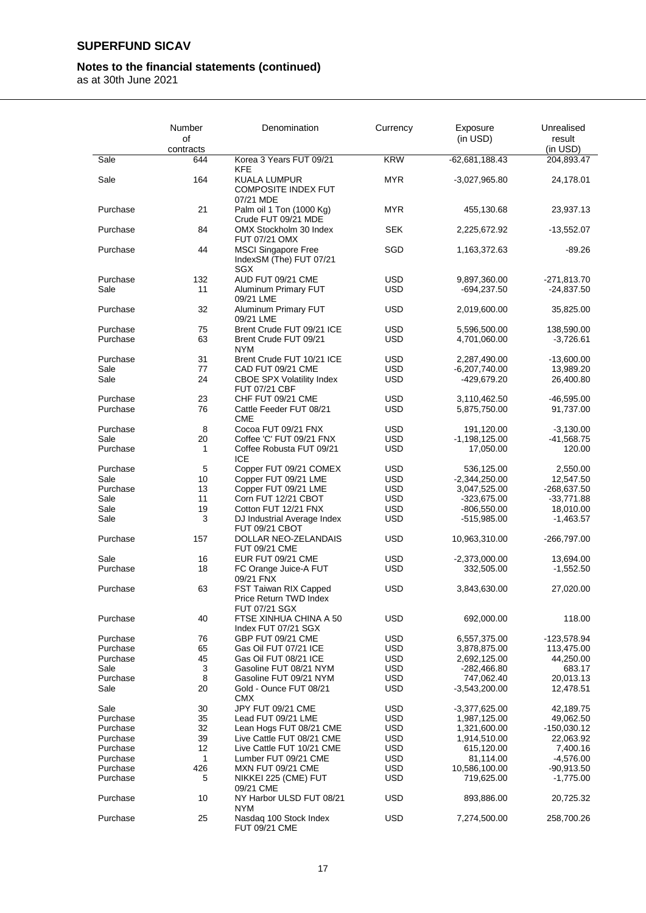### **Notes to the financial statements (continued)**

|          | Number<br>οf | Denomination                                                     | Currency   | Exposure<br>(in <b>USD</b> ) | Unrealised<br>result      |
|----------|--------------|------------------------------------------------------------------|------------|------------------------------|---------------------------|
|          | contracts    |                                                                  |            |                              | (in USD)                  |
| Sale     | 644          | Korea 3 Years FUT 09/21<br>KFE                                   | <b>KRW</b> | $-62,681,188.43$             | 204,893.47                |
| Sale     | 164          | <b>KUALA LUMPUR</b><br><b>COMPOSITE INDEX FUT</b><br>07/21 MDE   | MYR.       | $-3,027,965.80$              | 24,178.01                 |
| Purchase | 21           | Palm oil 1 Ton (1000 Kg)<br>Crude FUT 09/21 MDE                  | <b>MYR</b> | 455,130.68                   | 23,937.13                 |
| Purchase | 84           | OMX Stockholm 30 Index<br>FUT 07/21 OMX                          | <b>SEK</b> | 2,225,672.92                 | $-13,552.07$              |
| Purchase | 44           | <b>MSCI Singapore Free</b><br>IndexSM (The) FUT 07/21<br>SGX     | SGD        | 1,163,372.63                 | $-89.26$                  |
| Purchase | 132          | AUD FUT 09/21 CME                                                | USD        | 9,897,360.00                 | -271,813.70               |
| Sale     | 11           | Aluminum Primary FUT<br>09/21 LME                                | <b>USD</b> | $-694,237.50$                | $-24,837.50$              |
| Purchase | 32           | Aluminum Primary FUT<br>09/21 LME                                | <b>USD</b> | 2,019,600.00                 | 35,825.00                 |
| Purchase | 75           | Brent Crude FUT 09/21 ICE                                        | <b>USD</b> |                              |                           |
| Purchase | 63           | Brent Crude FUT 09/21<br><b>NYM</b>                              | <b>USD</b> | 5,596,500.00<br>4,701,060.00 | 138,590.00<br>$-3,726.61$ |
| Purchase | 31           | Brent Crude FUT 10/21 ICE                                        | <b>USD</b> | 2,287,490.00                 | -13,600.00                |
| Sale     | 77           | CAD FUT 09/21 CME                                                | <b>USD</b> | $-6,207,740.00$              | 13,989.20                 |
| Sale     | 24           | <b>CBOE SPX Volatility Index</b><br>FUT 07/21 CBF                | <b>USD</b> | -429,679.20                  | 26,400.80                 |
| Purchase | 23           | CHF FUT 09/21 CME                                                | <b>USD</b> | 3,110,462.50                 | -46,595.00                |
| Purchase | 76           | Cattle Feeder FUT 08/21<br><b>CME</b>                            | <b>USD</b> | 5,875,750.00                 | 91,737.00                 |
| Purchase | 8            | Cocoa FUT 09/21 FNX                                              | <b>USD</b> | 191,120.00                   | $-3,130.00$               |
| Sale     | 20           | Coffee 'C' FUT 09/21 FNX                                         | <b>USD</b> | $-1,198,125.00$              | $-41,568.75$              |
| Purchase | 1            | Coffee Robusta FUT 09/21<br><b>ICE</b>                           | <b>USD</b> | 17,050.00                    | 120.00                    |
| Purchase | 5            | Copper FUT 09/21 COMEX                                           | <b>USD</b> | 536,125.00                   | 2,550.00                  |
| Sale     | 10           | Copper FUT 09/21 LME                                             | <b>USD</b> | $-2,344,250.00$              | 12,547.50                 |
| Purchase | 13           | Copper FUT 09/21 LME                                             | <b>USD</b> | 3,047,525.00                 | $-268,637.50$             |
| Sale     | 11           | Corn FUT 12/21 CBOT                                              | <b>USD</b> | $-323,675.00$                | -33,771.88                |
| Sale     | 19           | Cotton FUT 12/21 FNX                                             | <b>USD</b> | $-806,550.00$                | 18,010.00                 |
| Sale     | 3            | DJ Industrial Average Index<br>FUT 09/21 CBOT                    | <b>USD</b> | -515,985.00                  | $-1,463.57$               |
| Purchase | 157          | DOLLAR NEO-ZELANDAIS<br>FUT 09/21 CME                            | <b>USD</b> | 10,963,310.00                | $-266,797.00$             |
| Sale     | 16           | EUR FUT 09/21 CME                                                | <b>USD</b> | $-2,373,000.00$              | 13,694.00                 |
| Purchase | 18           | FC Orange Juice-A FUT<br>09/21 FNX                               | <b>USD</b> | 332,505.00                   | $-1,552.50$               |
| Purchase | 63           | FST Taiwan RIX Capped<br>Price Return TWD Index<br>FUT 07/21 SGX | <b>USD</b> | 3,843,630.00                 | 27,020.00                 |
| Purchase | 40           | FTSE XINHUA CHINA A 50<br>Index FUT 07/21 SGX                    | <b>USD</b> | 692,000.00                   | 118.00                    |
| Purchase | 76           | GBP FUT 09/21 CME                                                | <b>USD</b> | 6,557,375.00                 | -123,578.94               |
| Purchase | 65           | Gas Oil FUT 07/21 ICE                                            | <b>USD</b> | 3,878,875.00                 | 113,475.00                |
| Purchase | 45           | Gas Oil FUT 08/21 ICE                                            | <b>USD</b> | 2,692,125.00                 | 44,250.00                 |
| Sale     | 3            | Gasoline FUT 08/21 NYM                                           | <b>USD</b> | $-282,466.80$                | 683.17                    |
| Purchase | 8            | Gasoline FUT 09/21 NYM                                           | <b>USD</b> | 747,062.40                   | 20,013.13                 |
| Sale     | 20           | Gold - Ounce FUT 08/21<br><b>CMX</b>                             | <b>USD</b> | $-3,543,200.00$              | 12,478.51                 |
| Sale     | 30           | JPY FUT 09/21 CME                                                | USD        | $-3,377,625.00$              | 42,189.75                 |
| Purchase | 35           | Lead FUT 09/21 LME                                               | <b>USD</b> | 1,987,125.00                 | 49,062.50                 |
| Purchase | 32           | Lean Hogs FUT 08/21 CME                                          | <b>USD</b> | 1,321,600.00                 | -150,030.12               |
| Purchase | 39           | Live Cattle FUT 08/21 CME                                        | <b>USD</b> | 1,914,510.00                 | 22,063.92                 |
| Purchase | 12           | Live Cattle FUT 10/21 CME                                        | <b>USD</b> | 615,120.00                   | 7,400.16                  |
| Purchase | 1            | Lumber FUT 09/21 CME                                             | <b>USD</b> | 81,114.00                    | $-4,576.00$               |
| Purchase | 426          | MXN FUT 09/21 CME                                                | <b>USD</b> | 10,586,100.00                | -90,913.50                |
| Purchase | 5            | NIKKEI 225 (CME) FUT                                             | <b>USD</b> | 719,625.00                   | $-1,775.00$               |
|          |              | 09/21 CME<br>NY Harbor ULSD FUT 08/21                            | <b>USD</b> |                              |                           |
| Purchase | 10           | <b>NYM</b>                                                       |            | 893,886.00                   | 20,725.32                 |
| Purchase | 25           | Nasdaq 100 Stock Index<br>FUT 09/21 CME                          | <b>USD</b> | 7,274,500.00                 | 258,700.26                |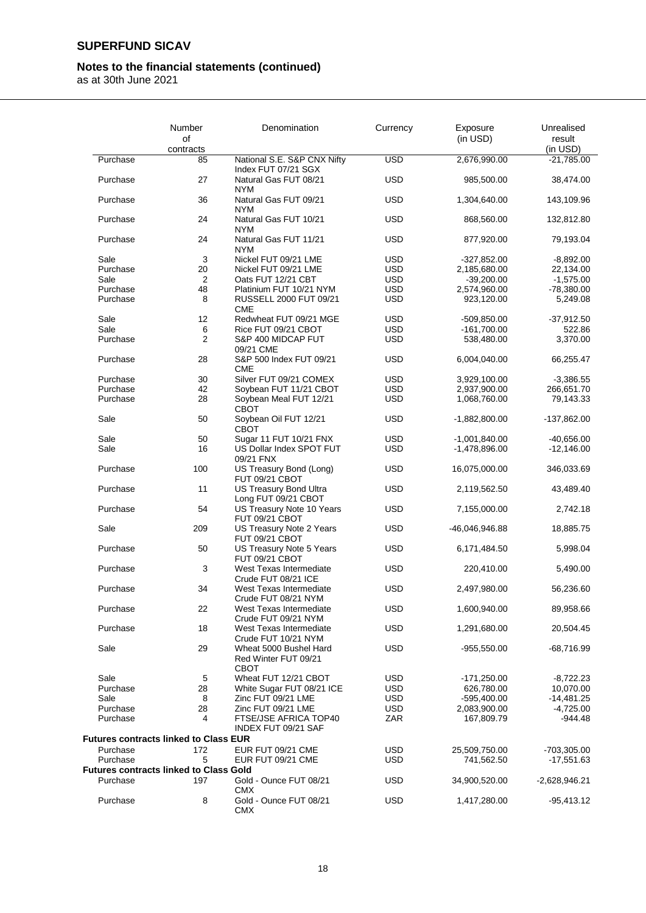## **Notes to the financial statements (continued)**

|          | Number<br>οf<br>contracts                     | Denomination                                               | Currency   | Exposure<br>(in USD) | Unrealised<br>result<br>(in USD) |
|----------|-----------------------------------------------|------------------------------------------------------------|------------|----------------------|----------------------------------|
| Purchase | 85                                            | National S.E. S&P CNX Nifty                                | <b>USD</b> | 2,676,990.00         | $-21,785.00$                     |
| Purchase | 27                                            | Index FUT 07/21 SGX<br>Natural Gas FUT 08/21<br><b>NYM</b> | <b>USD</b> | 985,500.00           | 38,474.00                        |
| Purchase | 36                                            | Natural Gas FUT 09/21<br><b>NYM</b>                        | <b>USD</b> | 1,304,640.00         | 143,109.96                       |
| Purchase | 24                                            | Natural Gas FUT 10/21<br><b>NYM</b>                        | <b>USD</b> | 868,560.00           | 132,812.80                       |
| Purchase | 24                                            | Natural Gas FUT 11/21<br><b>NYM</b>                        | <b>USD</b> | 877,920.00           | 79,193.04                        |
| Sale     | 3                                             | Nickel FUT 09/21 LME                                       | USD        | -327,852.00          | $-8,892.00$                      |
| Purchase | 20                                            | Nickel FUT 09/21 LME                                       | <b>USD</b> | 2,185,680.00         | 22,134.00                        |
| Sale     | 2                                             | Oats FUT 12/21 CBT                                         | USD        | $-39,200.00$         | $-1,575.00$                      |
| Purchase | 48                                            | Platinium FUT 10/21 NYM                                    | <b>USD</b> | 2,574,960.00         | $-78,380.00$                     |
| Purchase | 8                                             | RUSSELL 2000 FUT 09/21<br><b>CME</b>                       | <b>USD</b> | 923,120.00           | 5,249.08                         |
| Sale     | 12                                            | Redwheat FUT 09/21 MGE                                     | <b>USD</b> | -509,850.00          | -37,912.50                       |
| Sale     | 6                                             | Rice FUT 09/21 CBOT                                        | <b>USD</b> | $-161,700.00$        | 522.86                           |
| Purchase | $\overline{2}$                                | S&P 400 MIDCAP FUT<br>09/21 CME                            | <b>USD</b> | 538,480.00           | 3,370.00                         |
| Purchase | 28                                            | S&P 500 Index FUT 09/21<br><b>CME</b>                      | USD        | 6,004,040.00         | 66,255.47                        |
| Purchase | 30                                            | Silver FUT 09/21 COMEX                                     | <b>USD</b> | 3,929,100.00         | $-3,386.55$                      |
| Purchase | 42                                            | Soybean FUT 11/21 CBOT                                     | <b>USD</b> | 2,937,900.00         | 266,651.70                       |
| Purchase | 28                                            | Soybean Meal FUT 12/21<br><b>CBOT</b>                      | <b>USD</b> | 1,068,760.00         | 79,143.33                        |
| Sale     | 50                                            | Soybean Oil FUT 12/21<br><b>CBOT</b>                       | <b>USD</b> | -1,882,800.00        | -137,862.00                      |
| Sale     | 50                                            | Sugar 11 FUT 10/21 FNX                                     | <b>USD</b> | $-1,001,840.00$      | $-40,656.00$                     |
| Sale     | 16                                            | US Dollar Index SPOT FUT<br>09/21 FNX                      | <b>USD</b> | $-1,478,896.00$      | $-12,146.00$                     |
| Purchase | 100                                           | US Treasury Bond (Long)<br>FUT 09/21 CBOT                  | <b>USD</b> | 16,075,000.00        | 346,033.69                       |
| Purchase | 11                                            | US Treasury Bond Ultra<br>Long FUT 09/21 CBOT              | <b>USD</b> | 2,119,562.50         | 43,489.40                        |
| Purchase | 54                                            | US Treasury Note 10 Years<br>FUT 09/21 CBOT                | <b>USD</b> | 7,155,000.00         | 2,742.18                         |
| Sale     | 209                                           | US Treasury Note 2 Years<br>FUT 09/21 CBOT                 | <b>USD</b> | -46,046,946.88       | 18,885.75                        |
| Purchase | 50                                            | US Treasury Note 5 Years<br>FUT 09/21 CBOT                 | <b>USD</b> | 6,171,484.50         | 5,998.04                         |
| Purchase | 3                                             | West Texas Intermediate<br>Crude FUT 08/21 ICE             | <b>USD</b> | 220,410.00           | 5,490.00                         |
| Purchase | 34                                            | West Texas Intermediate<br>Crude FUT 08/21 NYM             | <b>USD</b> | 2,497,980.00         | 56,236.60                        |
| Purchase | 22                                            | West Texas Intermediate<br>Crude FUT 09/21 NYM             | <b>USD</b> | 1,600,940.00         | 89,958.66                        |
| Purchase | 18                                            | West Texas Intermediate<br>Crude FUT 10/21 NYM             | <b>USD</b> | 1,291,680.00         | 20,504.45                        |
| Sale     | 29                                            | Wheat 5000 Bushel Hard<br>Red Winter FUT 09/21<br>CBOT     | USD        | $-955,550.00$        | -68,716.99                       |
| Sale     | 5                                             | Wheat FUT 12/21 CBOT                                       | <b>USD</b> | -171,250.00          | $-8,722.23$                      |
| Purchase | 28                                            | White Sugar FUT 08/21 ICE                                  | <b>USD</b> | 626,780.00           | 10,070.00                        |
| Sale     | 8                                             | Zinc FUT 09/21 LME                                         | USD        | -595,400.00          | -14,481.25                       |
| Purchase | 28                                            | Zinc FUT 09/21 LME                                         | USD        | 2,083,900.00         | $-4,725.00$                      |
| Purchase | 4                                             | FTSE/JSE AFRICA TOP40<br>INDEX FUT 09/21 SAF               | ZAR        | 167,809.79           | $-944.48$                        |
|          | <b>Futures contracts linked to Class EUR</b>  |                                                            |            |                      |                                  |
| Purchase | 172                                           | EUR FUT 09/21 CME                                          | <b>USD</b> | 25,509,750.00        | -703,305.00                      |
| Purchase | 5                                             | EUR FUT 09/21 CME                                          | <b>USD</b> | 741,562.50           | -17,551.63                       |
|          | <b>Futures contracts linked to Class Gold</b> |                                                            |            |                      |                                  |
| Purchase | 197                                           | Gold - Ounce FUT 08/21<br><b>CMX</b>                       | <b>USD</b> | 34,900,520.00        | $-2,628,946.21$                  |
| Purchase | 8                                             | Gold - Ounce FUT 08/21<br><b>CMX</b>                       | <b>USD</b> | 1,417,280.00         | -95,413.12                       |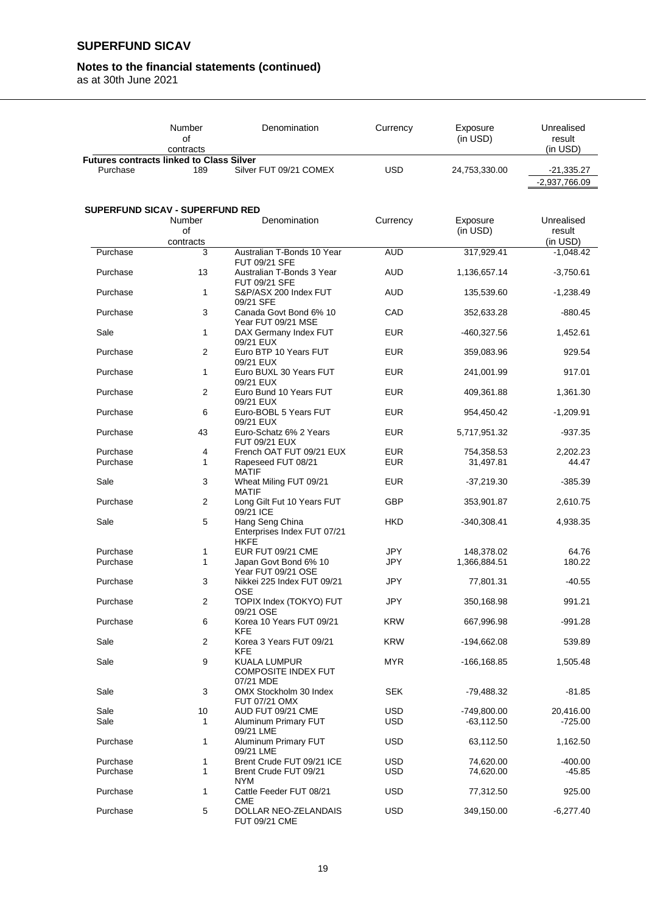### **Notes to the financial statements (continued)**

|                                                 | Number<br>οf                    | Denomination                                                   | Currency   | Exposure<br>(in USD) | Unrealised<br>result    |
|-------------------------------------------------|---------------------------------|----------------------------------------------------------------|------------|----------------------|-------------------------|
| <b>Futures contracts linked to Class Silver</b> | contracts                       |                                                                |            |                      | (in USD)                |
| Purchase                                        | 189                             | Silver FUT 09/21 COMEX                                         | <b>USD</b> | 24,753,330.00        | $-21,335.27$            |
|                                                 |                                 |                                                                |            |                      | $-2,937,766.09$         |
|                                                 |                                 |                                                                |            |                      |                         |
|                                                 | SUPERFUND SICAV - SUPERFUND RED |                                                                |            |                      |                         |
|                                                 | Number                          | Denomination                                                   | Currency   | Exposure             | Unrealised              |
|                                                 | οf                              |                                                                |            | (in USD)             | result                  |
| Purchase                                        | contracts<br>3                  | Australian T-Bonds 10 Year                                     | <b>AUD</b> | 317,929.41           | (in USD)<br>$-1,048.42$ |
|                                                 |                                 | FUT 09/21 SFE                                                  |            |                      |                         |
| Purchase                                        | 13                              | Australian T-Bonds 3 Year<br>FUT 09/21 SFE                     | <b>AUD</b> | 1,136,657.14         | $-3,750.61$             |
| Purchase                                        | 1                               | S&P/ASX 200 Index FUT<br>09/21 SFE                             | AUD        | 135,539.60           | $-1,238.49$             |
| Purchase                                        | 3                               | Canada Govt Bond 6% 10<br>Year FUT 09/21 MSE                   | CAD        | 352,633.28           | $-880.45$               |
| Sale                                            | 1                               | DAX Germany Index FUT<br>09/21 EUX                             | <b>EUR</b> | -460,327.56          | 1,452.61                |
| Purchase                                        | 2                               | Euro BTP 10 Years FUT<br>09/21 EUX                             | <b>EUR</b> | 359,083.96           | 929.54                  |
| Purchase                                        | 1                               | Euro BUXL 30 Years FUT<br>09/21 EUX                            | <b>EUR</b> | 241,001.99           | 917.01                  |
| Purchase                                        | 2                               | Euro Bund 10 Years FUT<br>09/21 EUX                            | <b>EUR</b> | 409,361.88           | 1,361.30                |
| Purchase                                        | 6                               | Euro-BOBL 5 Years FUT<br>09/21 EUX                             | <b>EUR</b> | 954,450.42           | $-1,209.91$             |
| Purchase                                        | 43                              | Euro-Schatz 6% 2 Years<br><b>FUT 09/21 EUX</b>                 | <b>EUR</b> | 5,717,951.32         | $-937.35$               |
| Purchase                                        | 4                               | French OAT FUT 09/21 EUX                                       | <b>EUR</b> | 754,358.53           | 2,202.23                |
| Purchase                                        | 1                               | Rapeseed FUT 08/21<br><b>MATIF</b>                             | <b>EUR</b> | 31,497.81            | 44.47                   |
| Sale                                            | 3                               | Wheat Miling FUT 09/21<br><b>MATIF</b>                         | <b>EUR</b> | $-37,219.30$         | $-385.39$               |
| Purchase                                        | 2                               | Long Gilt Fut 10 Years FUT<br>09/21 ICE                        | <b>GBP</b> | 353,901.87           | 2,610.75                |
| Sale                                            | 5                               | Hang Seng China<br>Enterprises Index FUT 07/21<br><b>HKFE</b>  | <b>HKD</b> | $-340,308.41$        | 4,938.35                |
| Purchase                                        | 1                               | EUR FUT 09/21 CME                                              | <b>JPY</b> | 148,378.02           | 64.76                   |
| Purchase                                        | 1                               | Japan Govt Bond 6% 10<br>Year FUT 09/21 OSE                    | JPY        | 1,366,884.51         | 180.22                  |
| Purchase                                        | 3                               | Nikkei 225 Index FUT 09/21<br><b>OSE</b>                       | <b>JPY</b> | 77,801.31            | -40.55                  |
| Purchase                                        | 2                               | TOPIX Index (TOKYO) FUT<br>09/21 OSE                           | JPY        | 350,168.98           | 991.21                  |
| Purchase                                        | 6                               | Korea 10 Years FUT 09/21<br><b>KFE</b>                         | <b>KRW</b> | 667,996.98           | $-991.28$               |
| Sale                                            | 2                               | Korea 3 Years FUT 09/21<br><b>KFE</b>                          | <b>KRW</b> | -194,662.08          | 539.89                  |
| Sale                                            | 9                               | <b>KUALA LUMPUR</b><br><b>COMPOSITE INDEX FUT</b><br>07/21 MDE | <b>MYR</b> | -166,168.85          | 1,505.48                |
| Sale                                            | 3                               | OMX Stockholm 30 Index<br>FUT 07/21 OMX                        | <b>SEK</b> | -79,488.32           | -81.85                  |
| Sale                                            | 10                              | AUD FUT 09/21 CME                                              | USD.       | -749,800.00          | 20,416.00               |
| Sale                                            | 1                               | Aluminum Primary FUT<br>09/21 LME                              | <b>USD</b> | $-63,112.50$         | $-725.00$               |
| Purchase                                        | 1                               | Aluminum Primary FUT<br>09/21 LME                              | <b>USD</b> | 63,112.50            | 1,162.50                |
| Purchase                                        | 1                               | Brent Crude FUT 09/21 ICE                                      | <b>USD</b> | 74,620.00            | $-400.00$               |
| Purchase                                        | 1                               | Brent Crude FUT 09/21<br><b>NYM</b>                            | <b>USD</b> | 74,620.00            | -45.85                  |
| Purchase                                        | 1                               | Cattle Feeder FUT 08/21<br><b>CME</b>                          | <b>USD</b> | 77,312.50            | 925.00                  |
| Purchase                                        | 5                               | DOLLAR NEO-ZELANDAIS<br>FUT 09/21 CME                          | <b>USD</b> | 349,150.00           | $-6,277.40$             |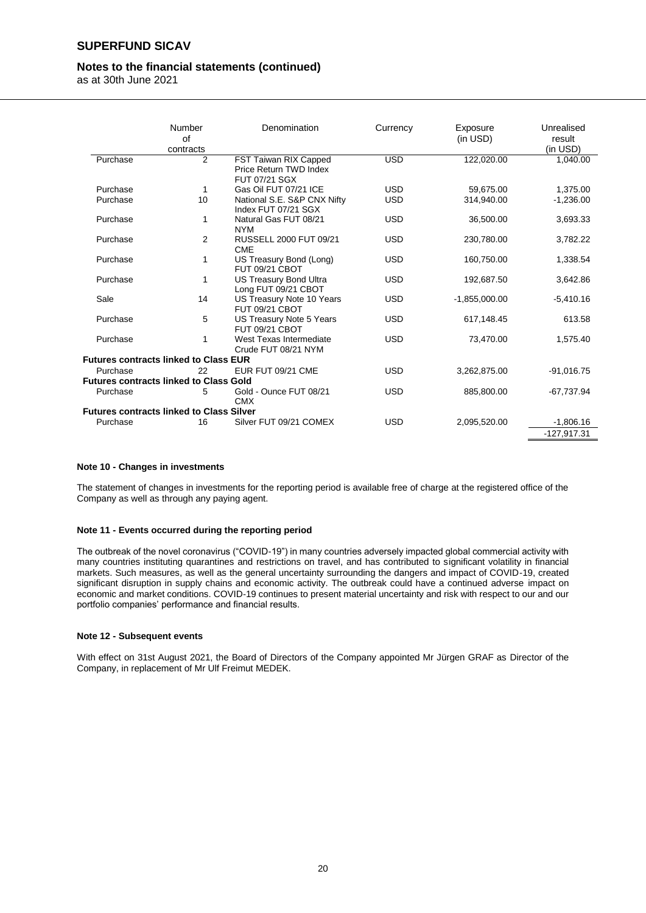#### **Notes to the financial statements (continued)**

as at 30th June 2021

|          | <b>Number</b><br>of<br>contracts                | Denomination                                                     | Currency   | Exposure<br>(in USD) | Unrealised<br>result<br>(in USD) |
|----------|-------------------------------------------------|------------------------------------------------------------------|------------|----------------------|----------------------------------|
| Purchase | $\overline{2}$                                  | FST Taiwan RIX Capped<br>Price Return TWD Index<br>FUT 07/21 SGX | <b>USD</b> | 122,020.00           | 1,040.00                         |
| Purchase | 1                                               | Gas Oil FUT 07/21 ICE                                            | <b>USD</b> | 59.675.00            | 1,375.00                         |
| Purchase | 10                                              | National S.E. S&P CNX Nifty<br>Index FUT 07/21 SGX               | <b>USD</b> | 314,940.00           | $-1,236.00$                      |
| Purchase | 1                                               | Natural Gas FUT 08/21<br><b>NYM</b>                              | <b>USD</b> | 36,500.00            | 3,693.33                         |
| Purchase | 2                                               | RUSSELL 2000 FUT 09/21<br><b>CME</b>                             | <b>USD</b> | 230,780.00           | 3,782.22                         |
| Purchase | 1                                               | US Treasury Bond (Long)<br>FUT 09/21 CBOT                        | <b>USD</b> | 160,750.00           | 1,338.54                         |
| Purchase | 1                                               | US Treasury Bond Ultra<br>Long FUT 09/21 CBOT                    | <b>USD</b> | 192,687.50           | 3,642.86                         |
| Sale     | 14                                              | US Treasury Note 10 Years<br>FUT 09/21 CBOT                      | <b>USD</b> | $-1,855,000.00$      | $-5,410.16$                      |
| Purchase | 5                                               | US Treasury Note 5 Years<br>FUT 09/21 CBOT                       | <b>USD</b> | 617,148.45           | 613.58                           |
| Purchase | 1                                               | West Texas Intermediate<br>Crude FUT 08/21 NYM                   | <b>USD</b> | 73,470.00            | 1,575.40                         |
|          | <b>Futures contracts linked to Class EUR</b>    |                                                                  |            |                      |                                  |
| Purchase | 22                                              | EUR FUT 09/21 CME                                                | <b>USD</b> | 3,262,875.00         | $-91,016.75$                     |
|          | <b>Futures contracts linked to Class Gold</b>   |                                                                  |            |                      |                                  |
| Purchase | 5                                               | Gold - Ounce FUT 08/21<br><b>CMX</b>                             | <b>USD</b> | 885,800.00           | $-67,737.94$                     |
|          | <b>Futures contracts linked to Class Silver</b> |                                                                  |            |                      |                                  |
| Purchase | 16                                              | Silver FUT 09/21 COMEX                                           | <b>USD</b> | 2,095,520.00         | $-1,806.16$                      |
|          |                                                 |                                                                  |            |                      | $-127,917.31$                    |

#### **Note 10 - Changes in investments**

The statement of changes in investments for the reporting period is available free of charge at the registered office of the Company as well as through any paying agent.

#### **Note 11 - Events occurred during the reporting period**

The outbreak of the novel coronavirus ("COVID-19") in many countries adversely impacted global commercial activity with many countries instituting quarantines and restrictions on travel, and has contributed to significant volatility in financial markets. Such measures, as well as the general uncertainty surrounding the dangers and impact of COVID-19, created significant disruption in supply chains and economic activity. The outbreak could have a continued adverse impact on economic and market conditions. COVID-19 continues to present material uncertainty and risk with respect to our and our portfolio companies' performance and financial results.

#### **Note 12 - Subsequent events**

With effect on 31st August 2021, the Board of Directors of the Company appointed Mr Jürgen GRAF as Director of the Company, in replacement of Mr Ulf Freimut MEDEK.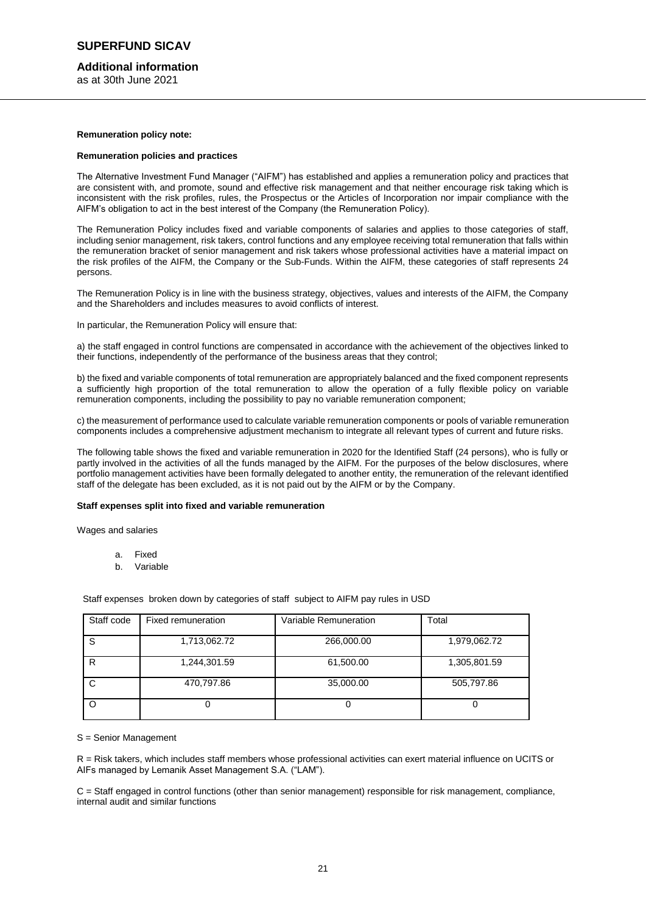#### **Additional information**

as at 30th June 2021

#### **Remuneration policy note:**

#### **Remuneration policies and practices**

The Alternative Investment Fund Manager ("AIFM") has established and applies a remuneration policy and practices that are consistent with, and promote, sound and effective risk management and that neither encourage risk taking which is inconsistent with the risk profiles, rules, the Prospectus or the Articles of Incorporation nor impair compliance with the AIFM's obligation to act in the best interest of the Company (the Remuneration Policy).

The Remuneration Policy includes fixed and variable components of salaries and applies to those categories of staff, including senior management, risk takers, control functions and any employee receiving total remuneration that falls within the remuneration bracket of senior management and risk takers whose professional activities have a material impact on the risk profiles of the AIFM, the Company or the Sub-Funds. Within the AIFM, these categories of staff represents 24 persons.

The Remuneration Policy is in line with the business strategy, objectives, values and interests of the AIFM, the Company and the Shareholders and includes measures to avoid conflicts of interest.

In particular, the Remuneration Policy will ensure that:

a) the staff engaged in control functions are compensated in accordance with the achievement of the objectives linked to their functions, independently of the performance of the business areas that they control;

b) the fixed and variable components of total remuneration are appropriately balanced and the fixed component represents a sufficiently high proportion of the total remuneration to allow the operation of a fully flexible policy on variable remuneration components, including the possibility to pay no variable remuneration component;

c) the measurement of performance used to calculate variable remuneration components or pools of variable remuneration components includes a comprehensive adjustment mechanism to integrate all relevant types of current and future risks.

The following table shows the fixed and variable remuneration in 2020 for the Identified Staff (24 persons), who is fully or partly involved in the activities of all the funds managed by the AIFM. For the purposes of the below disclosures, where portfolio management activities have been formally delegated to another entity, the remuneration of the relevant identified staff of the delegate has been excluded, as it is not paid out by the AIFM or by the Company.

#### **Staff expenses split into fixed and variable remuneration**

Wages and salaries

- a. Fixed
- b. Variable

Staff expenses broken down by categories of staff subject to AIFM pay rules in USD

| Staff code | Fixed remuneration | Variable Remuneration | Total        |
|------------|--------------------|-----------------------|--------------|
| S          | 1,713,062.72       | 266,000.00            | 1,979,062.72 |
| R          | 1,244,301.59       | 61,500.00             | 1,305,801.59 |
| C          | 470,797.86         | 35,000.00             | 505,797.86   |
|            |                    |                       |              |

S = Senior Management

R = Risk takers, which includes staff members whose professional activities can exert material influence on UCITS or AIFs managed by Lemanik Asset Management S.A. ("LAM").

C = Staff engaged in control functions (other than senior management) responsible for risk management, compliance, internal audit and similar functions